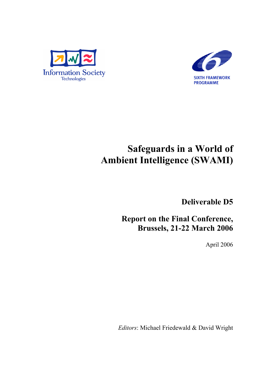



# Safeguards in a World of Ambient Intelligence (SWAMI)

Deliverable D5

Report on the Final Conference, Brussels, 21-22 March 2006

April 2006

*Editors*: Michael Friedewald & David Wright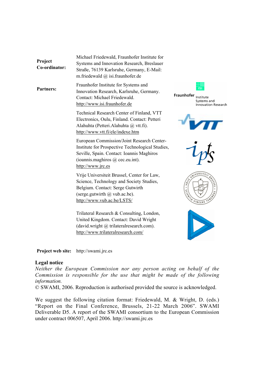| Project<br>Co-ordinator: | Michael Friedewald, Fraunhofer Institute for<br>Systems and Innovation Research, Breslauer<br>Straße, 76139 Karlsruhe, Germany, E-Mail:<br>m.friedewald $(a)$ isi.fraunhofer.de                          |                                                                      |
|--------------------------|----------------------------------------------------------------------------------------------------------------------------------------------------------------------------------------------------------|----------------------------------------------------------------------|
| <b>Partners:</b>         | Fraunhofer Institute for Systems and<br>Innovation Research, Karlsruhe, Germany.<br>Contact: Michael Friedewald.<br>http://www.isi.fraunhofer.de                                                         | Fraunhofer<br>Institute<br>Systems and<br><b>Innovation Research</b> |
|                          | Technical Research Center of Finland, VTT<br>Electronics, Oulu, Finland. Contact: Petteri<br>Alahuhta (Petteri. Alahuhta @ vtt.fi).<br>http://www.vtt.fi/ele/indexe.htm                                  |                                                                      |
|                          | European Commission/Joint Research Center-<br>Institute for Prospective Technological Studies,<br>Seville, Spain. Contact: Ioannis Maghiros<br>(ioannis.maghiros $(a)$ cec.eu.int).<br>http://www.jrc.es |                                                                      |
|                          | Vrije Universiteit Brussel, Center for Law,<br>Science, Technology and Society Studies,<br>Belgium. Contact: Serge Gutwirth<br>(serge.gutwirth $\omega$ vub.ac.be).<br>http://www.vub.ac.be/LSTS/        | VINCERE                                                              |
|                          | Trilateral Research & Consulting, London,<br>United Kingdom. Contact: David Wright<br>(david.wright @ trilateralresearch.com).<br>http://www.trilateralresearch.com/                                     |                                                                      |

Project web site: http://swami.jrc.es

# Legal notice

*Neither the European Commission nor any person acting on behalf of the Commission is responsible for the use that might be made of the following information.*

© SWAMI, 2006. Reproduction is authorised provided the source is acknowledged.

We suggest the following citation format: Friedewald, M. & Wright, D. (eds.) "Report on the Final Conference, Brussels, 21-22 March 2006". SWAMI Deliverable D5. A report of the SWAMI consortium to the European Commission under contract 006507, April 2006. http://swami.jrc.es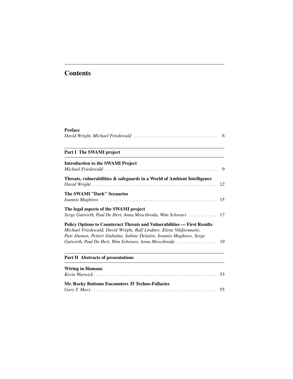# **Contents**

# Preface

|--|--|--|

# Part I The SWAMI project

| <b>Introduction to the SWAMI Project</b>                                                                                                                                                                                                                                                        |  |
|-------------------------------------------------------------------------------------------------------------------------------------------------------------------------------------------------------------------------------------------------------------------------------------------------|--|
| Threats, vulnerabilities & safeguards in a World of Ambient Intelligence                                                                                                                                                                                                                        |  |
| <b>The SWAMI "Dark" Scenarios</b>                                                                                                                                                                                                                                                               |  |
| The legal aspects of the SWAMI project<br>Serge Gutwirth, Paul De Hert, Anna Moscibroda, Wim Schreurs  17                                                                                                                                                                                       |  |
| <b>Policy Options to Counteract Threats and Vulnerabilities — First Results</b><br>Michael Friedewald, David Wright, Ralf Lindner, Elena Vildjiounaite,<br>Pasi Ahonen, Petteri Alahuhta, Sabine Delaitre, Ioannis Maghiros, Serge<br>Gutwirth, Paul De Hert, Wim Schreurs, Anna Moscibroda  19 |  |

# Part II Abstracts of presentations

| <b>Wiring in Humans</b>                          |  |
|--------------------------------------------------|--|
| Mr. Rocky Bottoms Encounters 35 Techno-Fallacies |  |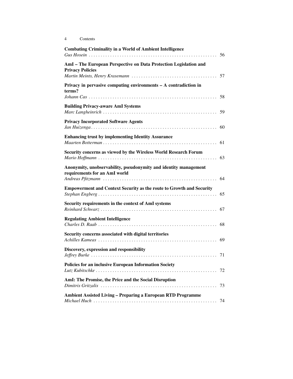| <b>Combating Criminality in a World of Ambient Intelligence</b>                                   | 56 |
|---------------------------------------------------------------------------------------------------|----|
| AmI - The European Perspective on Data Protection Legislation and<br><b>Privacy Policies</b>      | 57 |
| Privacy in pervasive computing environments $-$ A contradiction in<br>terms?                      | 58 |
| <b>Building Privacy-aware AmI Systems</b>                                                         | 59 |
| <b>Privacy Incorporated Software Agents</b>                                                       | 60 |
| <b>Enhancing trust by implementing Identity Assurance</b>                                         | 61 |
| Security concerns as viewed by the Wireless World Research Forum                                  | 63 |
| Anonymity, unobservability, pseudonymity and identity management<br>requirements for an AmI world | 64 |
| <b>Empowerment and Context Security as the route to Growth and Security</b>                       | 65 |
| Security requirements in the context of AmI systems                                               | 67 |
| <b>Regulating Ambient Intelligence</b>                                                            | 68 |
| Security concerns associated with digital territories                                             | 69 |
| Discovery, expression and responsibility                                                          |    |
| Policies for an inclusive European Information Society                                            |    |
| AmI: The Promise, the Price and the Social Disruption                                             |    |
| <b>Ambient Assisted Living - Preparing a European RTD Programme</b>                               | 74 |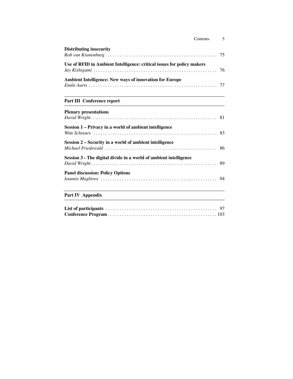| <b>Distributing insecurity</b>                                                                                                                                                               |    |
|----------------------------------------------------------------------------------------------------------------------------------------------------------------------------------------------|----|
| Use of RFID in Ambient Intelligence: critical issues for policy makers                                                                                                                       | 76 |
| Ambient Intelligence: New ways of innovation for Europe                                                                                                                                      |    |
| Part III Conference report                                                                                                                                                                   |    |
| <b>Plenary presentations</b>                                                                                                                                                                 |    |
| Session 1 - Privacy in a world of ambient intelligence                                                                                                                                       |    |
| Session 2 - Security in a world of ambient intelligence<br>Michael Friedewald $\ldots$ $\ldots$ $\ldots$ $\ldots$ $\ldots$ $\ldots$ $\ldots$ $\ldots$ $\ldots$ $\ldots$ $\ldots$ $\ldots$ 86 |    |
| Session 3 - The digital divide in a world of ambient intelligence                                                                                                                            |    |
| <b>Panel discussion: Policy Options</b>                                                                                                                                                      |    |
| Part IV Appendix                                                                                                                                                                             |    |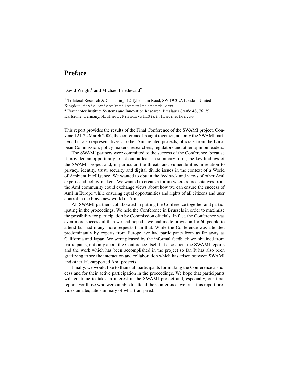# Preface

David Wright<sup>1</sup> and Michael Friedewald<sup>2</sup>

<sup>1</sup> Trilateral Research & Consulting, 12 Tybenham Road, SW 19 3LA London, United Kingdom, david.wright@trilateralresearch.com <sup>2</sup> Fraunhofer Institute Systems and Innovation Research, Breslauer Straße 48, 76139 Karlsruhe, Germany, Michael.Friedewald@isi.fraunhofer.de

This report provides the results of the Final Conference of the SWAMI project. Convened 21-22 March 2006, the conference brought together, not only the SWAMI partners, but also representatives of other AmI-related projects, officials from the European Commission, policy-makers, researchers, regulators and other opinion leaders.

The SWAMI partners were committed to the success of the Conference, because it provided an opportunity to set out, at least in summary form, the key findings of the SWAMI project and, in particular, the threats and vulnerabilities in relation to privacy, identity, trust, security and digital divide issues in the context of a World of Ambient Intelligence. We wanted to obtain the feedback and views of other AmI experts and policy-makers. We wanted to create a forum where representatives from the AmI community could exchange views about how we can ensure the success of AmI in Europe while ensuring equal opportunities and rights of all citizens and user control in the brave new world of AmI.

All SWAMI partners collaborated in putting the Conference together and participating in the proceedings. We held the Conference in Brussels in order to maximise the possibility for participation by Commission officials. In fact, the Conference was even more successful than we had hoped - we had made provision for 60 people to attend but had many more requests than that. While the Conference was attended predominantly by experts from Europe, we had participants from as far away as California and Japan. We were pleased by the informal feedback we obtained from participants, not only about the Conference itself but also about the SWAMI reports and the work which has been accomplished in the project so far. It has also been gratifying to see the interaction and collaboration which has arisen between SWAMI and other EC-supported AmI projects.

Finally, we would like to thank all participants for making the Conference a success and for their active participation in the proceedings. We hope that participants will continue to take an interest in the SWAMI project and, especially, our final report. For those who were unable to attend the Conference, we trust this report provides an adequate summary of what transpired.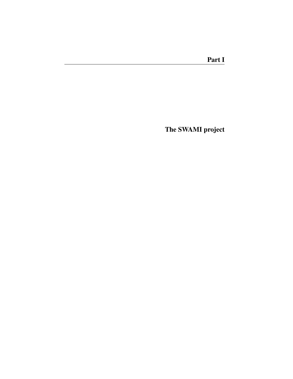The SWAMI project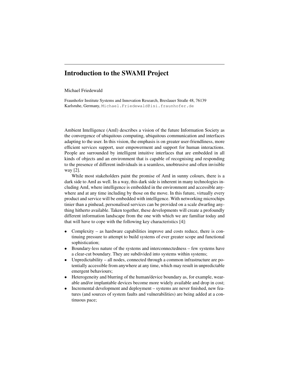# Introduction to the SWAMI Project

#### Michael Friedewald

Fraunhofer Institute Systems and Innovation Research, Breslauer Straße 48, 76139 Karlsruhe, Germany, Michael.Friedewald@isi.fraunhofer.de

Ambient Intelligence (AmI) describes a vision of the future Information Society as the convergence of ubiquitous computing, ubiquitous communication and interfaces adapting to the user. In this vision, the emphasis is on greater user-friendliness, more efficient services support, user empowerment and support for human interactions. People are surrounded by intelligent intuitive interfaces that are embedded in all kinds of objects and an environment that is capable of recognising and responding to the presence of different individuals in a seamless, unobtrusive and often invisible way [2].

While most stakeholders paint the promise of AmI in sunny colours, there is a dark side to AmI as well. In a way, this dark side is inherent in many technologies including AmI, where intelligence is embedded in the environment and accessible anywhere and at any time including by those on the move. In this future, virtually every product and service will be embedded with intelligence. With networking microchips tinier than a pinhead, personalised services can be provided on a scale dwarfing anything hitherto available. Taken together, these developments will create a profoundly different information landscape from the one with which we are familiar today and that will have to cope with the following key characteristics [4]:

- Complexity as hardware capabilities improve and costs reduce, there is continuing pressure to attempt to build systems of ever greater scope and functional sophistication;
- Boundary-less nature of the systems and interconnectedness few systems have a clear-cut boundary. They are subdivided into systems within systems;
- Unpredictability all nodes, connected through a common infrastructure are potentially accessible from anywhere at any time, which may result in unpredictable emergent behaviours;
- Heterogeneity and blurring of the human/device boundary as, for example, wearable and/or implantable devices become more widely available and drop in cost;
- Incremental development and deployment systems are never finished, new features (and sources of system faults and vulnerabilities) are being added at a continuous pace;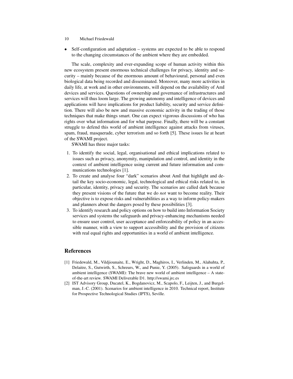#### 10 Michael Friedewald

• Self-configuration and adaptation – systems are expected to be able to respond to the changing circumstances of the ambient where they are embedded.

The scale, complexity and ever-expanding scope of human activity within this new ecosystem present enormous technical challenges for privacy, identity and security – mainly because of the enormous amount of behavioural, personal and even biological data being recorded and disseminated. Moreover, many more activities in daily life, at work and in other environments, will depend on the availability of AmI devices and services. Questions of ownership and governance of infrastructures and services will thus loom large. The growing autonomy and intelligence of devices and applications will have implications for product liability, security and service definition. There will also be new and massive economic activity in the trading of those techniques that make things smart. One can expect vigorous discussions of who has rights over what information and for what purpose. Finally, there will be a constant struggle to defend this world of ambient intelligence against attacks from viruses, spam, fraud, masquerade, cyber terrorism and so forth [5]. These issues lie at heart of the SWAMI project.

SWAMI has three major tasks:

- 1. To identify the social, legal, organisational and ethical implications related to issues such as privacy, anonymity, manipulation and control, and identity in the context of ambient intelligence using current and future information and communications technologies [1].
- 2. To create and analyse four "dark" scenarios about AmI that highlight and detail the key socio-economic, legal, technological and ethical risks related to, in particular, identity, privacy and security. The scenarios are called dark because they present visions of the future that we do *not* want to become reality. Their objective is to expose risks and vulnerabilities as a way to inform policy-makers and planners about the dangers posed by these possibilities [3].
- 3. To identify research and policy options on how to build into Information Society services and systems the safeguards and privacy-enhancing mechanisms needed to ensure user control, user acceptance and enforceability of policy in an accessible manner, with a view to support accessibility and the provision of citizens with real equal rights and opportunities in a world of ambient intelligence.

# References

- [1] Friedewald, M., Vildjiounaite, E., Wright, D., Maghiros, I., Verlinden, M., Alahuhta, P., Delaitre, S., Gutwirth, S., Schreurs, W., and Punie, Y. (2005). Safeguards in a world of ambient intelligence (SWAMI): The brave new world of ambient intelligence  $-A$  stateof-the-art review. SWAMI Deliverable D1. http://swami.jrc.es
- [2] IST Advisory Group, Ducatel, K., Bogdanovicz, M., Scapolo, F., Leijten, J., and Burgelman, J.-C. (2001). Scenarios for ambient intelligence in 2010. Technical report, Institute for Prospective Technological Studies (IPTS), Seville.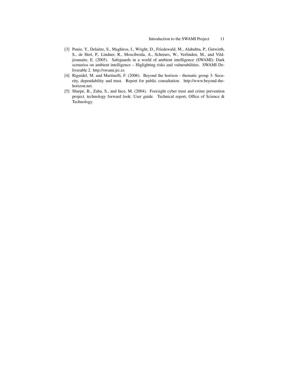- [3] Punie, Y., Delaitre, S., Maghiros, I., Wright, D., Friedewald, M., Alahuhta, P., Gutwirth, S., de Hert, P., Lindner, R., Moscibroda, A., Schreurs, W., Verlinden, M., and Vildjiounaite, E. (2005). Safeguards in a world of ambient intelligence (SWAMI): Dark scenarios on ambient intelligence – Higlighting risks and vulnerabilities. SWAMI Deliverable 2. http://swami.jrc.es
- [4] Riguidel, M. and Martinelli, F. (2006). Beyond the horizon thematic group 3: Security, dependability and trust. Report for public consultation. http://www.beyond-thehorizon.net.
- [5] Sharpe, B., Zaba, S., and Ince, M. (2004). Foresight cyber trust and crime prevention project. technology forward look: User guide. Technical report, Office of Science & Technology.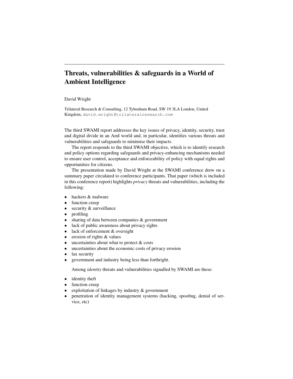# Threats, vulnerabilities & safeguards in a World of Ambient Intelligence

#### David Wright

Trilateral Research & Consulting, 12 Tybenham Road, SW 19 3LA London, United Kingdom, david.wright@trilateralresearch.com

The third SWAMI report addresses the key issues of privacy, identity, security, trust and digital divide in an AmI world and, in particular, identifies various threats and vulnerabilities and safeguards to minimise their impacts.

The report responds to the third SWAMI objective, which is to identify research and policy options regarding safeguards and privacy-enhancing mechanisms needed to ensure user control, acceptance and enforceability of policy with equal rights and opportunities for citizens.

The presentation made by David Wright at the SWAMI conference drew on a summary paper circulated to conference participants. That paper (which is included in this conference report) highlights *privacy* threats and vulnerabilities, including the following:

- hackers & malware
- function creep
- security & surveillance
- profiling
- sharing of data between companies & government
- lack of public awareness about privacy rights
- lack of enforcement & oversight
- erosion of rights & values
- $\bullet$  uncertainties about what to protect  $\&$  costs
- uncertainties about the economic costs of privacy erosion
- lax security
- government and industry being less than forthright.

Among *identity* threats and vulnerabilities signalled by SWAMI are these:

- identity theft
- function creep
- exploitation of linkages by industry & government
- penetration of identity management systems (hacking, spoofing, denial of service, etc)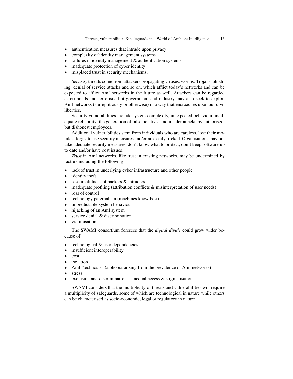- authentication measures that intrude upon privacy
- complexity of identity management systems
- failures in identity management & authentication systems
- inadequate protection of cyber identity
- misplaced trust in security mechanisms.

*Security* threats come from attackers propagating viruses, worms, Trojans, phishing, denial of service attacks and so on, which afflict today's networks and can be expected to afflict AmI networks in the future as well. Attackers can be regarded as criminals and terrorists, but government and industry may also seek to exploit AmI networks (surreptitiously or otherwise) in a way that encroaches upon our civil liberties.

Security vulnerabilities include system complexity, unexpected behaviour, inadequate reliability, the generation of false positives and insider attacks by authorised, but dishonest employees.

Additional vulnerabilities stem from individuals who are careless, lose their mobiles, forget to use security measures and/or are easily tricked. Organisations may not take adequate security measures, don't know what to protect, don't keep software up to date and/or have cost issues.

*Trust* in AmI networks, like trust in existing networks, may be undermined by factors including the following:

- lack of trust in underlying cyber infrastructure and other people
- identity theft
- resourcefulness of hackers & intruders
- inadequate profiling (attribution conflicts  $\&$  misinterpretation of user needs)
- loss of control
- technology paternalism (machines know best)
- unpredictable system behaviour
- hijacking of an AmI system
- service denial  $\&$  discrimination
- victimisation

The SWAMI consortium foresees that the *digital divide* could grow wider because of

- technological  $&$  user dependencies
- insufficient interoperability
- cost
- isolation
- AmI "technosis" (a phobia arising from the prevalence of AmI networks)
- stress
- exclusion and discrimination unequal access  $\&$  stigmatisation.

SWAMI considers that the multiplicity of threats and vulnerabilities will require a multiplicity of safeguards, some of which are technological in nature while others can be characterised as socio-economic, legal or regulatory in nature.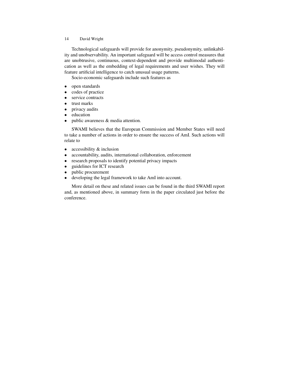Technological safeguards will provide for anonymity, pseudonymity, unlinkability and unobservability. An important safeguard will be access control measures that are unobtrusive, continuous, context-dependent and provide multimodal authentication as well as the embedding of legal requirements and user wishes. They will feature artificial intelligence to catch unusual usage patterns.

Socio-economic safeguards include such features as

- open standards
- codes of practice
- service contracts
- trust marks
- privacy audits
- education
- public awareness & media attention.

SWAMI believes that the European Commission and Member States will need to take a number of actions in order to ensure the success of AmI. Such actions will relate to

- accessibility & inclusion
- accountability, audits, international collaboration, enforcement
- research proposals to identify potential privacy impacts
- guidelines for ICT research
- public procurement
- developing the legal framework to take AmI into account.

More detail on these and related issues can be found in the third SWAMI report and, as mentioned above, in summary form in the paper circulated just before the conference.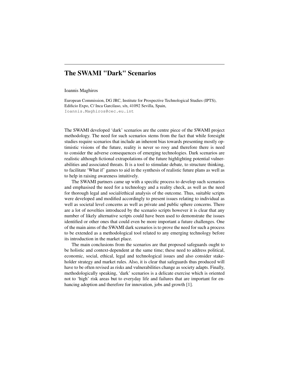# The SWAMI "Dark" Scenarios

#### Ioannis Maghiros

European Commission, DG JRC, Institute for Prospective Technological Studies (IPTS), Edificio Expo, C/ Inca Garcilaso, s/n, 41092 Sevilla, Spain, Ioannis.Maghiros@cec.eu.int

The SWAMI developed 'dark' scenarios are the centre piece of the SWAMI project methodology. The need for such scenarios stems from the fact that while foresight studies require scenarios that include an inherent bias towards presenting mostly optimistic visions of the future, reality is never so rosy and therefore there is need to consider the adverse consequences of emerging technologies. Dark scenarios are realistic although fictional extrapolations of the future highlighting potential vulnerabilities and associated threats. It is a tool to stimulate debate, to structure thinking, to facilitate 'What if' games to aid in the synthesis of realistic future plans as well as to help in raising awareness intuitively.

The SWAMI partners came up with a specific process to develop such scenarios and emphasised the need for a technology and a reality check, as well as the need for thorough legal and social/ethical analysis of the outcome. Thus, suitable scripts were developed and modified accordingly to present issues relating to individual as well as societal level concerns as well as private and public sphere concerns. There are a lot of novelties introduced by the scenario scripts however it is clear that any number of likely alternative scripts could have been used to demonstrate the issues identified or other ones that could even be more important a future challenges. One of the main aims of the SWAMI dark scenarios is to prove the need for such a process to be extended as a methodological tool related to any emerging technology before its introduction in the market place.

The main conclusions from the scenarios are that proposed safeguards ought to be holistic and context-dependent at the same time; these need to address political, economic, social, ethical, legal and technological issues and also consider stakeholder strategy and market rules. Also, it is clear that safeguards thus produced will have to be often revised as risks and vulnerabilities change as society adapts. Finally, methodologically speaking, 'dark' scenarios is a delicate exercise which is oriented not to 'high' risk areas but to everyday life and failures that are important for enhancing adoption and therefore for innovation, jobs and growth [1].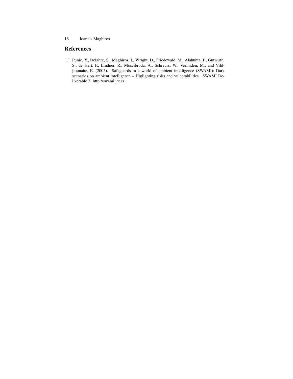# References

[1] Punie, Y., Delaitre, S., Maghiros, I., Wright, D., Friedewald, M., Alahuhta, P., Gutwirth, S., de Hert, P., Lindner, R., Moscibroda, A., Schreurs, W., Verlinden, M., and Vildjiounaite, E. (2005). Safeguards in a world of ambient intelligence (SWAMI): Dark scenarios on ambient intelligence – Higlighting risks and vulnerabilities. SWAMI Deliverable 2. http://swami.jrc.es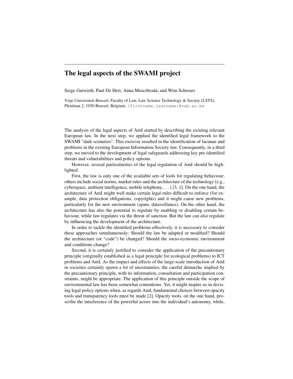# The legal aspects of the SWAMI project

Serge Gutwirth, Paul De Hert, Anna Moscibroda, and Wim Schreurs

Vrije Universiteit Brussel, Faculty of Law, Law Science Technology & Society (LSTS), Pleinlaan 2, 1050 Brussel, Belgium, {firstname.lastname}@vub.ac.be

The analysis of the legal aspects of AmI started by describing the existing relevant European law. In the next step, we applied the identified legal framework to the SWAMI "dark scenarios". This exercise resulted in the identification of lacunae and problems in the existing European Information Society law. Consequently, in a third step, we moved to the development of legal safeguards addressing key pre-identified threats and vulnerabilities and policy options.

However, several particularities of the legal regulation of AmI should be highlighted.

First, the law is only one of the available sets of tools for regulating behaviour; others include social norms, market rules and the architecture of the technology (e.g., cyberspace, ambient intelligence, mobile telephony,  $\dots$  [3, 1]. On the one hand, the architecture of AmI might well make certain legal rules difficult to enforce (for example, data protection obligations, copyrights) and it might cause new problems, particularly for the new environment (spam, dataveillance). On the other hand, the architecture has also the potential to regulate by enabling or disabling certain behaviour, while law regulates via the threat of sanction. But the law can also regulate by influencing the development of the architecture.

In order to tackle the identified problems effectively, it is necessary to consider these approaches simultaneously: Should the law be adapted or modified? Should the architecture (or "code") be changed? Should the socio-economic environment and conditions change?

Second, it is certainly justified to consider the application of the precautionary principle (originally established as a legal principle for ecological problems) to ICT problems and AmI. As the impact and effects of the large-scale introduction of AmI in societies certainly spawn a lot of uncertainties, the careful démarche implied by the precautionary principle, with its information, consultation and participation constraints, might be appropriate. The application of this principle outside the scope of environmental law has been somewhat contentious. Yet, it might inspire us in devising legal policy options when, as regards AmI, fundamental choices between opacity tools and transparency tools must be made [2]. Opacity tools, on the one hand, proscribe the interference of the powerful actors into the individual's autonomy, while,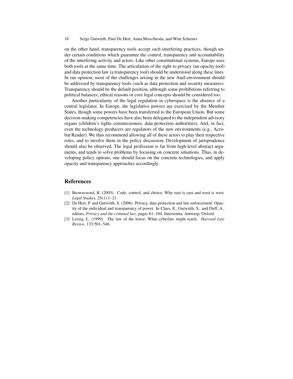on the other hand, transparency tools accept such interfering practices, though under certain conditions which guarantee the control, transparency and accountability of the interfering activity and actors. Like other constitutional systems, Europe uses both tools at the same time. The articulation of the right to privacy (an opacity tool) and data protection law (a transparency tool) should be understood along these lines. In our opinion, most of the challenges arising in the new AmI environment should be addressed by transparency tools (such as data protection and security measures). Transparency should be the default position, although some prohibitions referring to political balances, ethical reasons or core legal concepts should be considered too.

Another particularity of the legal regulation in cyberspace is the absence of a central legislator. In Europe, the legislative powers are exercised by the Member States, though some powers have been transferred to the European Union. But some decision-making competencies have also been delegated to the independent advisory organs (children's rights commissioners, data protection authorities). And, in fact, even the technology producers are regulators of the new environments (e.g., Acrobat Reader). We thus recommend allowing all of these actors to play their respective roles, and to involve them in the policy discussion. Development of jurisprudence should also be observed. The legal profession is far from high-level abstract arguments, and tends to solve problems by focusing on concrete situations. Thus, in developing policy options, one should focus on the concrete technologies, and apply opacity and transparency approaches accordingly.

# References

- [1] Brownsword, R. (2005). Code, control, and choice: Why east is east and west is west. *Legal Studies*, 25(1):1–21.
- [2] De Hert, P. and Gutwirth, S. (2006). Privacy, data protection and law enforcement: Opacity of the individual and transparency of power. In Claes, E., Gutwirth, S., and Duff, A., editors, *Privacy and the criminal law*, pages 61–104. Intersentia, Antwerp, Oxford.
- [3] Lessig, L. (1999). The law of the horse: What cyberlaw might teach. *Harvard Law Review*, 133:501–546.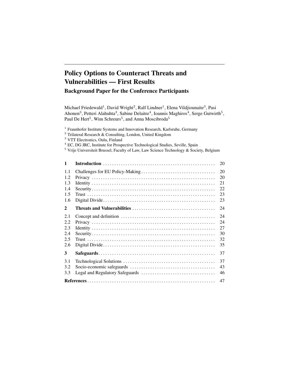# Policy Options to Counteract Threats and Vulnerabilities — First Results Background Paper for the Conference Participants

Michael Friedewald<sup>1</sup>, David Wright<sup>2</sup>, Ralf Lindner<sup>1</sup>, Elena Vildjiounaite<sup>3</sup>, Pasi Ahonen<sup>3</sup>, Petteri Alahuhta<sup>3</sup>, Sabine Delaitre<sup>4</sup>, Ioannis Maghiros<sup>4</sup>, Serge Gutwirth<sup>5</sup>, Paul De Hert<sup>5</sup>, Wim Schreurs<sup>5</sup>, and Anna Moscibroda<sup>5</sup>

<sup>1</sup> Fraunhofer Institute Systems and Innovation Research, Karlsruhe, Germany

<sup>2</sup> Trilateral Research & Consulting, London, United Kingdom

<sup>3</sup> VTT Electronics, Oulu, Finland

<sup>4</sup> EC, DG JRC, Institute for Prospective Technological Studies, Seville, Spain

<sup>5</sup> Vrije Universiteit Brussel, Faculty of Law, Law Science Technology & Society, Belgium

| $\mathbf{1}$                           | 20                               |
|----------------------------------------|----------------------------------|
| 1.1<br>1.2<br>1.3<br>1.4<br>1.5<br>1.6 | 20<br>20<br>21<br>22<br>23<br>23 |
| $\mathbf{2}$                           | 24                               |
| 2.1<br>2.2<br>2.3<br>2.4<br>2.5<br>2.6 | 24<br>24<br>27<br>30<br>32<br>35 |
| 3                                      | 37                               |
| 3.1<br>3.2<br>3.3                      | 37<br>43<br>46                   |
|                                        | 47                               |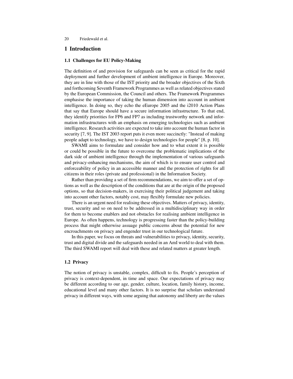# 1 Introduction

#### 1.1 Challenges for EU Policy-Making

The definition of and provision for safeguards can be seen as critical for the rapid deployment and further development of ambient intelligence in Europe. Moreover, they are in line with those of the IST priority and the broader objectives of the Sixth and forthcoming Seventh Framework Programmes as well as related objectives stated by the European Commission, the Council and others. The Framework Programmes emphasise the importance of taking the human dimension into account in ambient intelligence. In doing so, they echo the eEurope 2005 and the i2010 Action Plans that say that Europe should have a secure information infrastructure. To that end, they identify priorities for FP6 and FP7 as including trustworthy network and information infrastructures with an emphasis on emerging technologies such as ambient intelligence. Research activities are expected to take into account the human factor in security [7, 9]. The IST 2003 report puts it even more succinctly: "Instead of making people adapt to technology, we have to design technologies for people" [8, p. 10].

SWAMI aims to formulate and consider how and to what extent it is possible or could be possible in the future to overcome the problematic implications of the dark side of ambient intelligence through the implementation of various safeguards and privacy-enhancing mechanisms, the aim of which is to ensure user control and enforceability of policy in an accessible manner and the protection of rights for all citizens in their roles (private and professional) in the Information Society.

Rather than providing a set of firm recommendations, we aim to offer a set of options as well as the description of the conditions that are at the origin of the proposed options, so that decision-makers, in exercising their political judgement and taking into account other factors, notably cost, may flexibly formulate new policies.

There is an urgent need for realising these objectives. Matters of privacy, identity, trust, security and so on need to be addressed in a multidisciplinary way in order for them to become enablers and not obstacles for realising ambient intelligence in Europe. As often happens, technology is progressing faster than the policy-building process that might otherwise assuage public concerns about the potential for new encroachments on privacy and engender trust in our technological future.

In this paper, we focus on threats and vulnerabilities to privacy, identity, security, trust and digital divide and the safeguards needed in an AmI world to deal with them. The third SWAMI report will deal with these and related matters at greater length.

#### 1.2 Privacy

The notion of privacy is unstable, complex, difficult to fix. People's perception of privacy is context-dependent, in time and space. Our expectations of privacy may be different according to our age, gender, culture, location, family history, income, educational level and many other factors. It is no surprise that scholars understand privacy in different ways, with some arguing that autonomy and liberty are the values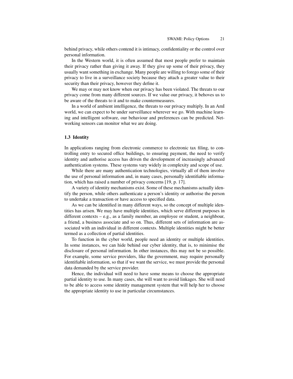behind privacy, while others contend it is intimacy, confidentiality or the control over personal information.

In the Western world, it is often assumed that most people prefer to maintain their privacy rather than giving it away. If they give up some of their privacy, they usually want something in exchange. Many people are willing to forego some of their privacy to live in a surveillance society because they attach a greater value to their security than their privacy, however they define it.

We may or may not know when our privacy has been violated. The threats to our privacy come from many different sources. If we value our privacy, it behoves us to be aware of the threats to it and to make countermeasures.

In a world of ambient intelligence, the threats to our privacy multiply. In an AmI world, we can expect to be under surveillance wherever we go. With machine learning and intelligent software, our behaviour and preferences can be predicted. Networking sensors can monitor what we are doing.

#### 1.3 Identity

In applications ranging from electronic commerce to electronic tax filing, to controlling entry to secured office buildings, to ensuring payment, the need to verify identity and authorise access has driven the development of increasingly advanced authentication systems. These systems vary widely in complexity and scope of use.

While there are many authentication technologies, virtually all of them involve the use of personal information and, in many cases, personally identifiable information, which has raised a number of privacy concerns [19, p. 17].

A variety of identity mechanisms exist. Some of these mechanisms actually identify the person, while others authenticate a person's identity or authorise the person to undertake a transaction or have access to specified data.

As we can be identified in many different ways, so the concept of multiple identities has arisen. We may have multiple identities, which serve different purposes in different contexts – e.g., as a family member, an employee or student, a neighbour, a friend, a business associate and so on. Thus, different sets of information are associated with an individual in different contexts. Multiple identities might be better termed as a collection of partial identities.

To function in the cyber world, people need an identity or multiple identities. In some instances, we can hide behind our cyber identity, that is, to minimise the disclosure of personal information. In other instances, this may not be so possible. For example, some service providers, like the government, may require personally identifiable information, so that if we want the service, we must provide the personal data demanded by the service provider.

Hence, the individual will need to have some means to choose the appropriate partial identity to use. In many cases, she will want to avoid linkages. She will need to be able to access some identity management system that will help her to choose the appropriate identity to use in particular circumstances.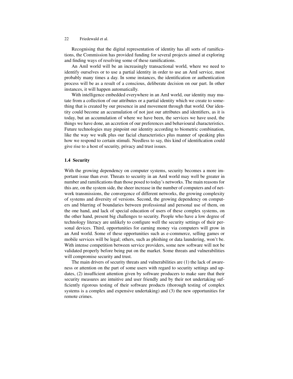Recognising that the digital representation of identity has all sorts of ramifications, the Commission has provided funding for several projects aimed at exploring and finding ways of resolving some of these ramifications.

An AmI world will be an increasingly transactional world, where we need to identify ourselves or to use a partial identity in order to use an AmI service, most probably many times a day. In some instances, the identification or authentication process will be as a result of a conscious, deliberate decision on our part. In other instances, it will happen automatically.

With intelligence embedded everywhere in an AmI world, our identity may mutate from a collection of our attributes or a partial identity which we create to something that is created by our presence in and movement through that world. Our identity could become an accumulation of not just our attributes and identifiers, as it is today, but an accumulation of where we have been, the services we have used, the things we have done, an accretion of our preferences and behavioural characteristics. Future technologies may pinpoint our identity according to biometric combination, like the way we walk plus our facial characteristics plus manner of speaking plus how we respond to certain stimuli. Needless to say, this kind of identification could give rise to a host of security, privacy and trust issues.

### 1.4 Security

With the growing dependency on computer systems, security becomes a more important issue than ever. Threats to security in an AmI world may well be greater in number and ramifications than those posed to today's networks. The main reasons for this are, on the system side, the sheer increase in the number of computers and of network transmissions, the convergence of different networks, the growing complexity of systems and diversity of versions. Second, the growing dependency on computers and blurring of boundaries between professional and personal use of them, on the one hand, and lack of special education of users of these complex systems, on the other hand, present big challenges to security. People who have a low degree of technology literacy are unlikely to configure well the security settings of their personal devices. Third, opportunities for earning money via computers will grow in an AmI world. Some of these opportunities such as e-commerce, selling games or mobile services will be legal; others, such as phishing or data laundering, won't be. With intense competition between service providers, some new software will not be validated properly before being put on the market. Some threats and vulnerabilities will compromise security and trust.

The main drivers of security threats and vulnerabilities are (1) the lack of awareness or attention on the part of some users with regard to security settings and updates, (2) insufficient attention given by software producers to make sure that their security measures are intuitive and user friendly and by their not undertaking sufficiently rigorous testing of their software products (thorough testing of complex systems is a complex and expensive undertaking) and (3) the new opportunities for remote crimes.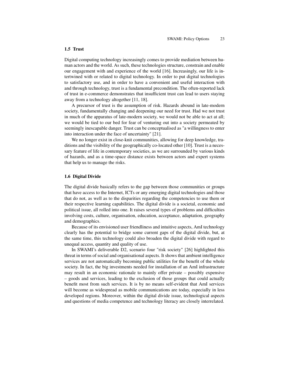#### 1.5 Trust

Digital computing technology increasingly comes to provide mediation between human actors and the world. As such, these technologies structure, constrain and enable our engagement with and experience of the world [16]. Increasingly, our life is intertwined with or related to digital technology. In order to put digital technologies to satisfactory use, and in order to have a convenient and useful interaction with and through technology, trust is a fundamental precondition. The often-reported lack of trust in e-commerce demonstrates that insufficient trust can lead to users staying away from a technology altogether [11, 18].

A precursor of trust is the assumption of risk. Hazards abound in late-modern society, fundamentally changing and deepening our need for trust. Had we not trust in much of the apparatus of late-modern society, we would not be able to act at all; we would be tied to our bed for fear of venturing out into a society permeated by seemingly inescapable danger. Trust can be conceptualised as "a willingness to enter into interaction under the face of uncertainty" [21].

We no longer exist in close-knit communities, allowing for deep knowledge, traditions and the visibility of the geographically co-located other [10]. Trust is a necessary feature of life in contemporary societies, as we are surrounded by various kinds of hazards, and as a time-space distance exists between actors and expert systems that help us to manage the risks.

#### 1.6 Digital Divide

The digital divide basically refers to the gap between those communities or groups that have access to the Internet, ICTs or any emerging digital technologies and those that do not, as well as to the disparities regarding the competencies to use them or their respective learning capabilities. The digital divide is a societal, economic and political issue, all rolled into one. It raises several types of problems and difficulties involving costs, culture, organisation, education, acceptance, adaptation, geography and demographics.

Because of its envisioned user friendliness and intuitive aspects, AmI technology clearly has the potential to bridge some current gaps of the digital divide, but, at the same time, this technology could also broaden the digital divide with regard to unequal access, quantity and quality of use.

In SWAMI's deliverable D2, scenario four "risk society" [26] highlighted this threat in terms of social and organisational aspects. It shows that ambient intelligence services are not automatically becoming public utilities for the benefit of the whole society. In fact, the big investments needed for installation of an AmI infrastructure may result in an economic rationale to mainly offer private – possibly expensive – goods and services, leading to the exclusion of those groups that could actually benefit most from such services. It is by no means self-evident that AmI services will become as widespread as mobile communications are today, especially in less developed regions. Moreover, within the digital divide issue, technological aspects and questions of media competence and technology literacy are closely interrelated.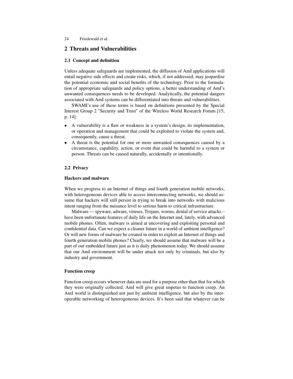# 2 Threats and Vulnerabilities

# 2.1 Concept and definition

Unless adequate safeguards are implemented, the diffusion of AmI applications will entail negative side effects and create risks, which, if not addressed, may jeopardise the potential economic and social benefits of the technology. Prior to the formulation of appropriate safeguards and policy options, a better understanding of AmI's unwanted consequences needs to be developed. Analytically, the potential dangers associated with AmI systems can be differentiated into threats and vulnerabilities.

SWAMI's use of these terms is based on definitions presented by the Special Interest Group 2 "Security and Trust" of the Wireless World Research Forum [15, p. 14]:

- A vulnerability is a flaw or weakness in a system's design, its implementation, or operation and management that could be exploited to violate the system and, consequently, cause a threat.
- A threat is the potential for one or more unwanted consequences caused by a circumstance, capability, action, or event that could be harmful to a system or person. Threats can be caused naturally, accidentally or intentionally.

# 2.2 Privacy

# Hackers and malware

When we progress to an Internet of things and fourth generation mobile networks, with heterogeneous devices able to access interconnecting networks, we should assume that hackers will still persist in trying to break into networks with malicious intent ranging from the nuisance level to serious harm to critical infrastructure.

Malware — spyware, adware, viruses, Trojans, worms, denial of service attacks – have been unfortunate features of daily life on the Internet and, lately, with advanced mobile phones. Often, malware is aimed at uncovering and exploiting personal and confidential data. Can we expect a cleaner future in a world of ambient intelligence? Or will new forms of malware be created in order to exploit an Internet of things and fourth generation mobile phones? Clearly, we should assume that malware will be a part of our embedded future just as it is daily phenomenon today. We should assume that our AmI environment will be under attack not only by criminals, but also by industry and government.

# Function creep

Function creep occurs whenever data are used for a purpose other than that for which they were originally collected. AmI will give great impetus to function creep. An AmI world is distinguished not just by ambient intelligence, but also by the interoperable networking of heterogeneous devices. It's been said that whatever can be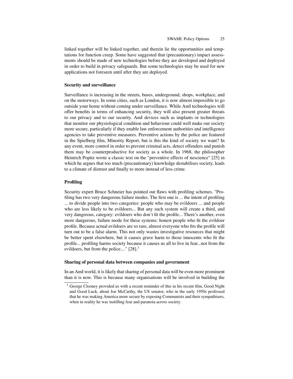linked together will be linked together, and therein lie the opportunities and temptations for function creep. Some have suggested that (precautionary) impact assessments should be made of new technologies before they are developed and deployed in order to build in privacy safeguards. But some technologies may be used for new applications not foreseen until after they are deployed.

#### Security and surveillance

Surveillance is increasing in the streets, buses, underground, shops, workplace, and on the motorways. In some cities, such as London, it is now almost impossible to go outside your home without coming under surveillance. While AmI technologies will offer benefits in terms of enhancing security, they will also present greater threats to our privacy and to our security. AmI devices such as implants or technologies that monitor our physiological condition and behaviour could well make our society more secure, particularly if they enable law enforcement authorities and intelligence agencies to take preventive measures. Preventive actions by the police are featured in the Spielberg film, Minority Report, but is this the kind of society we want? In any event, more control in order to prevent criminal acts, detect offenders and punish them may be counterproductive for society as a whole. In 1968, the philosopher Heinrich Popitz wrote a classic text on the "preventive effects of nescience" [25] in which he argues that too much (precautionary) knowledge destabilises society, leads to a climate of distrust and finally to more instead of less crime.

#### Profiling

Security expert Bruce Schneier has pointed out flaws with profiling schemes. "Profiling has two very dangerous failure modes. The first one is ... the intent of profiling ... to divide people into two categories: people who may be evildoers ... and people who are less likely to be evildoers... But any such system will create a third, and very dangerous, category: evildoers who don't fit the profile... There's another, even more dangerous, failure mode for these systems: honest people who fit the evildoer profile. Because actual evildoers are so rare, almost everyone who fits the profile will turn out to be a false alarm. This not only wastes investigative resources that might be better spent elsewhere, but it causes grave harm to those innocents who fit the profile... profiling harms society because it causes us all to live in fear...not from the evildoers, but from the police...."  $[28]$ <sup>1</sup>

#### Sharing of personal data between companies and government

In an AmI world, it is likely that sharing of personal data will be even more prominent than it is now. This is because many organisations will be involved in building the

<sup>&</sup>lt;sup>1</sup> George Clooney provided us with a recent reminder of this in his recent film, Good Night and Good Luck, about Joe McCarthy, the US senator, who in the early 1950s professed that he was making America more secure by exposing Communists and their sympathisers, when in reality he was instilling fear and paranoia across society.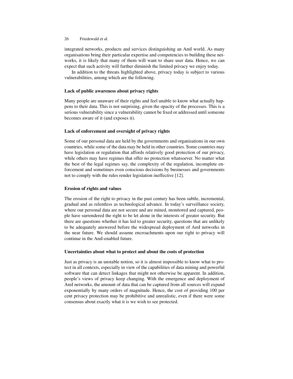integrated networks, products and services distinguishing an AmI world. As many organisations bring their particular expertise and competencies to building these networks, it is likely that many of them will want to share user data. Hence, we can expect that such activity will further diminish the limited privacy we enjoy today.

In addition to the threats highlighted above, privacy today is subject to various vulnerabilities, among which are the following.

# Lack of public awareness about privacy rights

Many people are unaware of their rights and feel unable to know what actually happens to their data. This is not surprising, given the opacity of the processes. This is a serious vulnerability since a vulnerability cannot be fixed or addressed until someone becomes aware of it (and exposes it).

# Lack of enforcement and oversight of privacy rights

Some of our personal data are held by the governments and organisations in our own countries, while some of the data may be held in other countries. Some countries may have legislation or regulation that affords relatively good protection of our privacy, while others may have regimes that offer no protection whatsoever. No matter what the best of the legal regimes say, the complexity of the regulation, incomplete enforcement and sometimes even conscious decisions by businesses and governments not to comply with the rules render legislation ineffective [12].

# Erosion of rights and values

The erosion of the right to privacy in the past century has been subtle, incremental, gradual and as relentless as technological advance. In today's surveillance society, where our personal data are not secure and are mined, monitored and captured, people have surrendered the right to be let alone in the interests of greater security. But there are questions whether it has led to greater security, questions that are unlikely to be adequately answered before the widespread deployment of AmI networks in the near future. We should assume encroachments upon our right to privacy will continue in the AmI-enabled future.

# Uncertainties about what to protect and about the costs of protection

Just as privacy is an unstable notion, so it is almost impossible to know what to protect in all contexts, especially in view of the capabilities of data mining and powerful software that can detect linkages that might not otherwise be apparent. In addition, people's views of privacy keep changing. With the emergence and deployment of AmI networks, the amount of data that can be captured from all sources will expand exponentially by many orders of magnitude. Hence, the cost of providing 100 per cent privacy protection may be prohibitive and unrealistic, even if there were some consensus about exactly what it is we wish to see protected.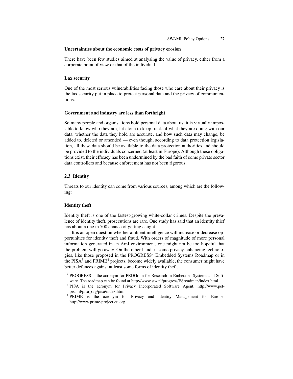#### Uncertainties about the economic costs of privacy erosion

There have been few studies aimed at analysing the value of privacy, either from a corporate point of view or that of the individual.

#### Lax security

One of the most serious vulnerabilities facing those who care about their privacy is the lax security put in place to protect personal data and the privacy of communications.

#### Government and industry are less than forthright

So many people and organisations hold personal data about us, it is virtually impossible to know who they are, let alone to keep track of what they are doing with our data, whether the data they hold are accurate, and how such data may change, be added to, deleted or amended — even though, according to data protection legislation, all these data should be available to the data protection authorities and should be provided to the individuals concerned (at least in Europe). Although these obligations exist, their efficacy has been undermined by the bad faith of some private sector data controllers and because enforcement has not been rigorous.

#### 2.3 Identity

Threats to our identity can come from various sources, among which are the following:

#### Identity theft

Identity theft is one of the fastest-growing white-collar crimes. Despite the prevalence of identity theft, prosecutions are rare. One study has said that an identity thief has about a one in 700 chance of getting caught.

It is an open question whether ambient intelligence will increase or decrease opportunities for identity theft and fraud. With orders of magnitude of more personal information generated in an AmI environment, one might not be too hopeful that the problem will go away. On the other hand, if some privacy-enhancing technologies, like those proposed in the PROGRESS<sup>2</sup> Embedded Systems Roadmap or in the PISA<sup>3</sup> and PRIME<sup>4</sup> projects, become widely available, the consumer might have better defences against at least some forms of identity theft.

<sup>&</sup>lt;sup>2</sup> PROGRESS is the acronym for PROGram for Research in Embedded Systems and Software. The roadmap can be found at http://www.stw.nl/progress/ESroadmap/index.html

<sup>&</sup>lt;sup>3</sup> PISA is the acronym for Privacy Incorporated Software Agent. http://www.petpisa.nl/pisa\_org/pisa/index.html

<sup>&</sup>lt;sup>4</sup> PRIME is the acronym for Privacy and Identity Management for Europe. http://www.prime-project.eu.org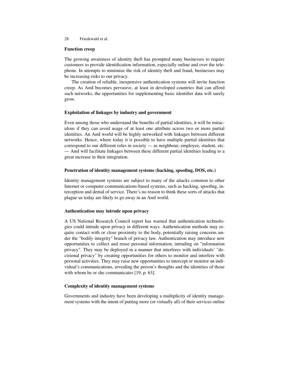# Function creep

The growing awareness of identity theft has prompted many businesses to require customers to provide identification information, especially online and over the telephone. In attempts to minimise the risk of identity theft and fraud, businesses may be increasing risks to our privacy.

The creation of reliable, inexpensive authentication systems will invite function creep. As AmI becomes pervasive, at least in developed countries that can afford such networks, the opportunities for supplementing basic identifier data will surely grow.

# Exploitation of linkages by industry and government

Even among those who understand the benefits of partial identities, it will be miraculous if they can avoid usage of at least one attribute across two or more partial identities. An AmI world will be highly networked with linkages between different networks. Hence, where today it is possible to have multiple partial identities that correspond to our different roles in society — as neighbour, employee, student, etc. — AmI will facilitate linkages between these different partial identities leading to a great increase in their integration.

# Penetration of identity management systems (hacking, spoofing, DOS, etc.)

Identity management systems are subject to many of the attacks common to other Internet or computer-communications-based systems, such as hacking, spoofing, interception and denial of service. There's no reason to think these sorts of attacks that plague us today are likely to go away in an AmI world.

# Authentication may intrude upon privacy

A US National Research Council report has warned that authentication technologies could intrude upon privacy in different ways. Authentication methods may require contact with or close proximity to the body, potentially raising concerns under the "bodily integrity" branch of privacy law. Authentication may introduce new opportunities to collect and reuse personal information, intruding on "information privacy". They may be deployed in a manner that interferes with individuals' "decisional privacy" by creating opportunities for others to monitor and interfere with personal activities. They may raise new opportunities to intercept or monitor an individual's communications, revealing the person's thoughts and the identities of those with whom he or she communicates [19, p. 63].

# Complexity of identity management systems

Governments and industry have been developing a multiplicity of identity management systems with the intent of putting more (or virtually all) of their services online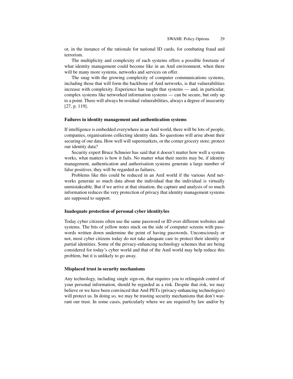or, in the instance of the rationale for national ID cards, for combating fraud and terrorism.

The multiplicity and complexity of such systems offers a possible foretaste of what identity management could become like in an AmI environment, when there will be many more systems, networks and services on offer.

The snag with the growing complexity of computer communications systems, including those that will form the backbone of AmI networks, is that vulnerabilities increase with complexity. Experience has taught that systems — and, in particular, complex systems like networked information systems — can be secure, but only up to a point. There will always be residual vulnerabilities, always a degree of insecurity [27, p. 119].

#### Failures in identity management and authentication systems

If intelligence is embedded everywhere in an AmI world, there will be lots of people, companies, organisations collecting identity data. So questions will arise about their securing of our data. How well will supermarkets, or the corner grocery store, protect our identity data?

Security expert Bruce Schneier has said that it doesn't matter how well a system works, what matters is how it fails. No matter what their merits may be, if identity management, authentication and authorisation systems generate a large number of false positives, they will be regarded as failures.

Problems like this could be reduced in an AmI world if the various AmI networks generate so much data about the individual that the individual is virtually unmistakeable. But if we arrive at that situation, the capture and analysis of so much information reduces the very protection of privacy that identity management systems are supposed to support.

#### Inadequate protection of personal cyber identity/ies

Today cyber citizens often use the same password or ID over different websites and systems. The bits of yellow notes stuck on the side of computer screens with passwords written down undermine the point of having passwords. Unconsciously or not, most cyber citizens today do not take adequate care to protect their identity or partial identities. Some of the privacy-enhancing technology schemes that are being considered for today's cyber world and that of the AmI world may help reduce this problem, but it is unlikely to go away.

#### Misplaced trust in security mechanisms

Any technology, including single sign-on, that requires you to relinquish control of your personal information, should be regarded as a risk. Despite that risk, we may believe or we have been convinced that AmI PETs (privacy-enhancing technologies) will protect us. In doing so, we may be trusting security mechanisms that don't warrant our trust. In some cases, particularly where we are required by law and/or by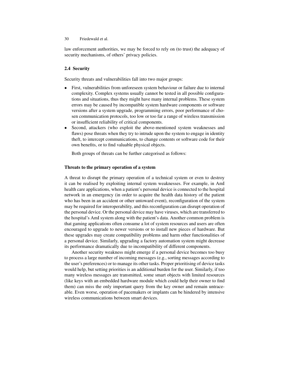law enforcement authorities, we may be forced to rely on (to trust) the adequacy of security mechanisms, of others' privacy policies.

# 2.4 Security

Security threats and vulnerabilities fall into two major groups:

- First, vulnerabilities from unforeseen system behaviour or failure due to internal complexity. Complex systems usually cannot be tested in all possible configurations and situations, thus they might have many internal problems. These system errors may be caused by incompatible system hardware components or software versions after a system upgrade, programming errors, poor performance of chosen communication protocols, too low or too far a range of wireless transmission or insufficient reliability of critical components.
- Second, attackers (who exploit the above-mentioned system weaknesses and flaws) pose threats when they try to intrude upon the system to engage in identity theft, to intercept communications, to change contents or software code for their own benefits, or to find valuable physical objects.

Both groups of threats can be further categorised as follows:

# Threats to the primary operation of a system

A threat to disrupt the primary operation of a technical system or even to destroy it can be realised by exploiting internal system weaknesses. For example, in AmI health care applications, when a patient's personal device is connected to the hospital network in an emergency (in order to acquire the health data history of the patient who has been in an accident or other untoward event), reconfiguration of the system may be required for interoperability, and this reconfiguration can disrupt operation of the personal device. Or the personal device may have viruses, which are transferred to the hospital's AmI system along with the patient's data. Another common problem is that gaming applications often consume a lot of system resources and users are often encouraged to upgrade to newer versions or to install new pieces of hardware. But these upgrades may create compatibility problems and harm other functionalities of a personal device. Similarly, upgrading a factory automation system might decrease its performance dramatically due to incompatibility of different components.

Another security weakness might emerge if a personal device becomes too busy to process a large number of incoming messages (e.g., sorting messages according to the user's preferences) or to manage its other tasks. Proper prioritising of device tasks would help, but setting priorities is an additional burden for the user. Similarly, if too many wireless messages are transmitted, some smart objects with limited resources (like keys with an embedded hardware module which could help their owner to find them) can miss the only important query from the key owner and remain untraceable. Even worse, operation of pacemakers or implants can be hindered by intensive wireless communications between smart devices.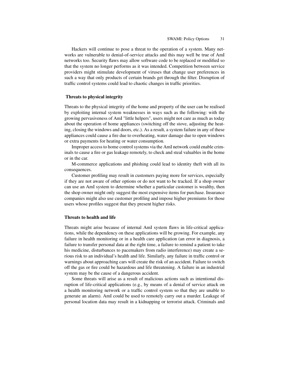Hackers will continue to pose a threat to the operation of a system. Many networks are vulnerable to denial-of-service attacks and this may well be true of AmI networks too. Security flaws may allow software code to be replaced or modified so that the system no longer performs as it was intended. Competition between service providers might stimulate development of viruses that change user preferences in such a way that only products of certain brands get through the filter. Disruption of traffic control systems could lead to chaotic changes in traffic priorities.

#### Threats to physical integrity

Threats to the physical integrity of the home and property of the user can be realised by exploiting internal system weaknesses in ways such as the following: with the growing pervasiveness of AmI "little helpers", users might not care as much as today about the operation of home appliances (switching off the stove, adjusting the heating, closing the windows and doors, etc.). As a result, a system failure in any of these appliances could cause a fire due to overheating, water damage due to open windows or extra payments for heating or water consumption.

Improper access to home control systems via the AmI network could enable criminals to cause a fire or gas leakage remotely, to check and steal valuables in the home or in the car.

M-commerce applications and phishing could lead to identity theft with all its consequences.

Customer profiling may result in customers paying more for services, especially if they are not aware of other options or do not want to be tracked. If a shop owner can use an AmI system to determine whether a particular customer is wealthy, then the shop owner might only suggest the most expensive items for purchase. Insurance companies might also use customer profiling and impose higher premiums for those users whose profiles suggest that they present higher risks.

#### Threats to health and life

Threats might arise because of internal AmI system flaws in life-critical applications, while the dependency on these applications will be growing. For example, any failure in health monitoring or in a health care application (an error in diagnosis, a failure to transfer personal data at the right time, a failure to remind a patient to take his medicine, disturbances to pacemakers from radio interference) may create a serious risk to an individual's health and life. Similarly, any failure in traffic control or warnings about approaching cars will create the risk of an accident. Failure to switch off the gas or fire could be hazardous and life threatening. A failure in an industrial system may be the cause of a dangerous accident.

Some threats will arise as a result of malicious actions such as intentional disruption of life-critical applications (e.g., by means of a denial of service attack on a health monitoring network or a traffic control system so that they are unable to generate an alarm). AmI could be used to remotely carry out a murder. Leakage of personal location data may result in a kidnapping or terrorist attack. Criminals and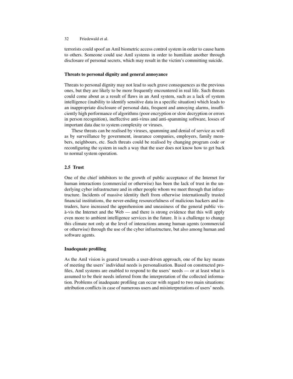terrorists could spoof an AmI biometric access control system in order to cause harm to others. Someone could use AmI systems in order to humiliate another through disclosure of personal secrets, which may result in the victim's committing suicide.

# Threats to personal dignity and general annoyance

Threats to personal dignity may not lead to such grave consequences as the previous ones, but they are likely to be more frequently encountered in real life. Such threats could come about as a result of flaws in an AmI system, such as a lack of system intelligence (inability to identify sensitive data in a specific situation) which leads to an inappropriate disclosure of personal data, frequent and annoying alarms, insufficiently high performance of algorithms (poor encryption or slow decryption or errors in person recognition), ineffective anti-virus and anti-spamming software, losses of important data due to system complexity or viruses.

These threats can be realised by viruses, spamming and denial of service as well as by surveillance by government, insurance companies, employers, family members, neighbours, etc. Such threats could be realised by changing program code or reconfiguring the system in such a way that the user does not know how to get back to normal system operation.

# 2.5 Trust

One of the chief inhibitors to the growth of public acceptance of the Internet for human interactions (commercial or otherwise) has been the lack of trust in the underlying cyber infrastructure and in other people whom we meet through that infrastructure. Incidents of massive identity theft from otherwise internationally trusted financial institutions, the never-ending resourcefulness of malicious hackers and intruders, have increased the apprehension and uneasiness of the general public visà-vis the Internet and the Web — and there is strong evidence that this will apply even more to ambient intelligence services in the future. It is a challenge to change this climate not only at the level of interactions among human agents (commercial or otherwise) through the use of the cyber infrastructure, but also among human and software agents.

# Inadequate profiling

As the AmI vision is geared towards a user-driven approach, one of the key means of meeting the users' individual needs is personalisation. Based on constructed profiles, AmI systems are enabled to respond to the users' needs — or at least what is assumed to be their needs inferred from the interpretation of the collected information. Problems of inadequate profiling can occur with regard to two main situations: attribution conflicts in case of numerous users and misinterpretations of users' needs.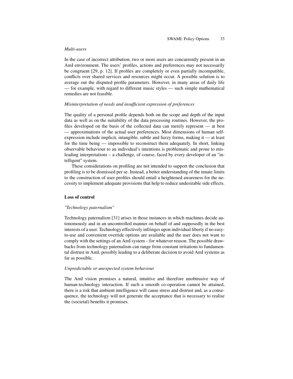#### *Multi-users*

In the case of incorrect attribution, two or more users are concurrently present in an AmI environment. The users' profiles, actions and preferences may not necessarily be congruent [29, p. 12]. If profiles are completely or even partially incompatible, conflicts over shared services and resources might occur. A possible solution is to average out the disputed profile parameters. However, in many areas of daily life — for example, with regard to different music styles — such simple mathematical remedies are not feasible.

# *Misinterpretation of needs and insufficient expression of preferences*

The quality of a personal profile depends both on the scope and depth of the input data as well as on the suitability of the data processing routines. However, the profiles developed on the basis of the collected data can merely represent — at best — approximations of the actual user preferences. Most dimensions of human selfexpression include implicit, intangible, subtle and fuzzy forms, making it — at least for the time being — impossible to reconstruct them adequately. In short, linking observable behaviour to an individual's intentions is problematic and prone to misleading interpretations – a challenge, of course, faced by every developer of an "intelligent" system.

These considerations on profiling are not intended to support the conclusion that profiling is to be dismissed per se. Instead, a better understanding of the innate limits to the construction of user profiles should entail a heightened awareness for the necessity to implement adequate provisions that help to reduce undesirable side effects.

#### Loss of control

#### *"Technology paternalism"*

Technology paternalism [31] arises in those instances in which machines decide autonomously and in an uncontrolled manner on behalf of and supposedly in the best interests of a user. Technology effectively infringes upon individual liberty if no easyto-use and convenient override options are available and the user does not want to comply with the settings of an AmI system – for whatever reason. The possible drawbacks from technology paternalism can range from constant irritations to fundamental distrust in AmI, possibly leading to a deliberate decision to avoid AmI systems as far as possible.

#### *Unpredictable or unexpected system behaviour*

The AmI vision promises a natural, intuitive and therefore unobtrusive way of human-technology interaction. If such a smooth co-operation cannot be attained, there is a risk that ambient intelligence will cause stress and distrust and, as a consequence, the technology will not generate the acceptance that is necessary to realise the (societal) benefits it promises.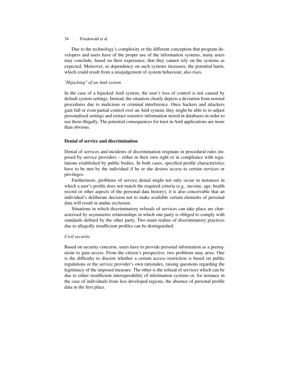#### 34 Friedewald et al.

Due to the technology's complexity or the different conception that program developers and users have of the proper use of the information systems, many users may conclude, based on their experience, that they cannot rely on the systems as expected. Moreover, as dependency on such systems increases, the potential harm, which could result from a misjudgement of system behaviour, also rises.

# *"Hijacking" of an AmI system*

In the case of a hijacked AmI system, the user's loss of control is not caused by default system settings. Instead, the situation clearly depicts a deviation from normal procedures due to malicious or criminal interference. Once hackers and attackers gain full or even partial control over an AmI system, they might be able to re-adjust personalised settings and extract sensitive information stored in databases in order to use them illegally. The potential consequences for trust in AmI applications are more than obvious.

# Denial of service and discrimination

Denial of services and incidents of discrimination originate in procedural rules imposed by service providers – either in their own right or in compliance with regulations established by public bodies. In both cases, specified profile characteristics have to be met by the individual if he or she desires access to certain services or privileges.

Furthermore, problems of service denial might not only occur in instances in which a user's profile does not match the required criteria (e.g., income, age, health record or other aspects of the personal data history), it is also conceivable that an individual's deliberate decision not to make available certain elements of personal data will result in undue exclusion.

Situations in which discriminatory refusals of services can take place are characterised by asymmetric relationships in which one party is obliged to comply with standards defined by the other party. Two main realms of discriminatory practices due to allegedly insufficient profiles can be distinguished:

# *Civil security*

Based on security concerns, users have to provide personal information as a prerequisite to gain access. From the citizen's perspective, two problems may arise. One is the difficulty to discern whether a certain access restriction is based on public regulations or the service provider's own rationales, raising questions regarding the legitimacy of the imposed measure. The other is the refusal of services which can be due to either insufficient interoperability of information systems or, for instance in the case of individuals from less developed regions, the absence of personal profile data in the first place.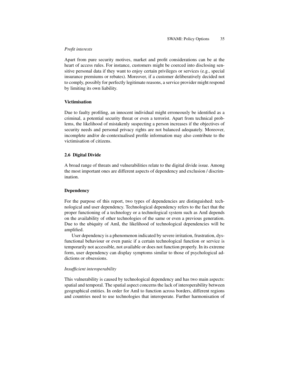### *Profit interests*

Apart from pure security motives, market and profit considerations can be at the heart of access rules. For instance, customers might be coerced into disclosing sensitive personal data if they want to enjoy certain privileges or services (e.g., special insurance premiums or rebates). Moreover, if a customer deliberatively decided not to comply, possibly for perfectly legitimate reasons, a service provider might respond by limiting its own liability.

### Victimisation

Due to faulty profiling, an innocent individual might erroneously be identified as a criminal, a potential security threat or even a terrorist. Apart from technical problems, the likelihood of mistakenly suspecting a person increases if the objectives of security needs and personal privacy rights are not balanced adequately. Moreover, incomplete and/or de-contextualised profile information may also contribute to the victimisation of citizens.

# 2.6 Digital Divide

A broad range of threats and vulnerabilities relate to the digital divide issue. Among the most important ones are different aspects of dependency and exclusion / discrimination.

# **Dependency**

For the purpose of this report, two types of dependencies are distinguished: technological and user dependency. Technological dependency refers to the fact that the proper functioning of a technology or a technological system such as AmI depends on the availability of other technologies of the same or even a previous generation. Due to the ubiquity of AmI, the likelihood of technological dependencies will be amplified.

User dependency is a phenomenon indicated by severe irritation, frustration, dysfunctional behaviour or even panic if a certain technological function or service is temporarily not accessible, not available or does not function properly. In its extreme form, user dependency can display symptoms similar to those of psychological addictions or obsessions.

# *Insufficient interoperability*

This vulnerability is caused by technological dependency and has two main aspects: spatial and temporal. The spatial aspect concerns the lack of interoperability between geographical entities. In order for AmI to function across borders, different regions and countries need to use technologies that interoperate. Further harmonisation of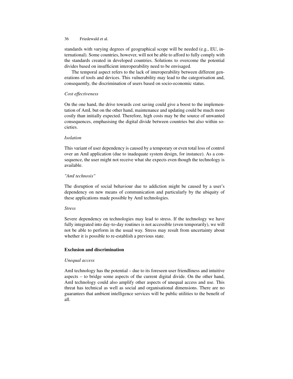standards with varying degrees of geographical scope will be needed (e.g., EU, international). Some countries, however, will not be able to afford to fully comply with the standards created in developed countries. Solutions to overcome the potential divides based on insufficient interoperability need to be envisaged.

The temporal aspect refers to the lack of interoperability between different generations of tools and devices. This vulnerability may lead to the categorisation and, consequently, the discrimination of users based on socio-economic status.

# *Cost effectiveness*

On the one hand, the drive towards cost saving could give a boost to the implementation of AmI, but on the other hand, maintenance and updating could be much more costly than initially expected. Therefore, high costs may be the source of unwanted consequences, emphasising the digital divide between countries but also within societies.

# *Isolation*

This variant of user dependency is caused by a temporary or even total loss of control over an AmI application (due to inadequate system design, for instance). As a consequence, the user might not receive what she expects even though the technology is available.

# *"AmI technosis"*

The disruption of social behaviour due to addiction might be caused by a user's dependency on new means of communication and particularly by the ubiquity of these applications made possible by AmI technologies.

# *Stress*

Severe dependency on technologies may lead to stress. If the technology we have fully integrated into day-to-day routines is not accessible (even temporarily), we will not be able to perform in the usual way. Stress may result from uncertainty about whether it is possible to re-establish a previous state.

# Exclusion and discrimination

# *Unequal access*

AmI technology has the potential – due to its foreseen user friendliness and intuitive aspects – to bridge some aspects of the current digital divide. On the other hand, AmI technology could also amplify other aspects of unequal access and use. This threat has technical as well as social and organisational dimensions. There are no guarantees that ambient intelligence services will be public utilities to the benefit of all.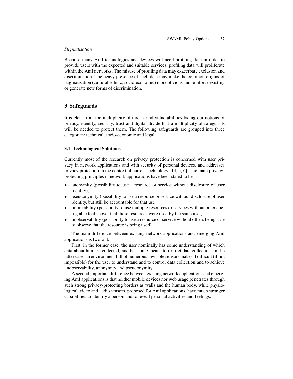### *Stigmatisation*

Because many AmI technologies and devices will need profiling data in order to provide users with the expected and suitable services, profiling data will proliferate within the AmI networks. The misuse of profiling data may exacerbate exclusion and discrimination. The heavy presence of such data may make the common origins of stigmatisation (cultural, ethnic, socio-economic) more obvious and reinforce existing or generate new forms of discrimination.

## 3 Safeguards

It is clear from the multiplicity of threats and vulnerabilities facing our notions of privacy, identity, security, trust and digital divide that a multiplicity of safeguards will be needed to protect them. The following safeguards are grouped into three categories: technical, socio-economic and legal.

## 3.1 Technological Solutions

Currently most of the research on privacy protection is concerned with user privacy in network applications and with security of personal devices, and addresses privacy protection in the context of current technology [14, 5, 6]. The main privacyprotecting principles in network applications have been stated to be

- anonymity (possibility to use a resource or service without disclosure of user identity),
- pseudonymity (possibility to use a resource or service without disclosure of user identity, but still be accountable for that use),
- unlinkability (possibility to use multiple resources or services without others being able to discover that these resources were used by the same user),
- unobservability (possibility to use a resource or service without others being able to observe that the resource is being used).

The main difference between existing network applications and emerging AmI applications is twofold:

First, in the former case, the user nominally has some understanding of which data about him are collected, and has some means to restrict data collection. In the latter case, an environment full of numerous invisible sensors makes it difficult (if not impossible) for the user to understand and to control data collection and to achieve unobservability, anonymity and pseudonymity.

A second important difference between existing network applications and emerging AmI applications is that neither mobile devices nor web usage penetrates through such strong privacy-protecting borders as walls and the human body, while physiological, video and audio sensors, proposed for AmI applications, have much stronger capabilities to identify a person and to reveal personal activities and feelings.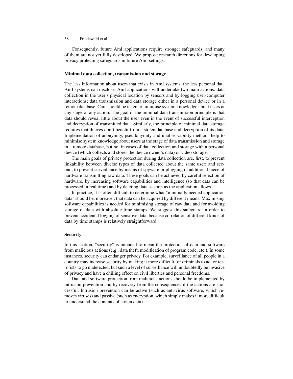Consequently, future AmI applications require stronger safeguards, and many of them are not yet fully developed. We propose research directions for developing privacy protecting safeguards in future AmI settings.

#### Minimal data collection, transmission and storage

The less information about users that exists in AmI systems, the less personal data AmI systems can disclose. AmI applications will undertake two main actions: data collection in the user's physical location by sensors and by logging user-computer interactions; data transmission and data storage either in a personal device or in a remote database. Care should be taken to minimise system knowledge about users at any stage of any action. The goal of the minimal data transmission principle is that data should reveal little about the user even in the event of successful interception and decryption of transmitted data. Similarly, the principle of minimal data storage requires that thieves don't benefit from a stolen database and decryption of its data. Implementation of anonymity, pseudonymity and unobservability methods help to minimise system knowledge about users at the stage of data transmission and storage in a remote database, but not in cases of data collection and storage with a personal device (which collects and stores the device owner's data) or video storage.

The main goals of privacy protection during data collection are, first, to prevent linkability between diverse types of data collected about the same user; and second, to prevent surveillance by means of spyware or plugging in additional piece of hardware transmitting raw data. These goals can be achieved by careful selection of hardware, by increasing software capabilities and intelligence (so that data can be processed in real time) and by deleting data as soon as the application allows.

In practice, it is often difficult to determine what "minimally needed application data" should be, moreover, that data can be acquired by different means. Maximising software capabilities is needed for minimising storage of raw data and for avoiding storage of data with absolute time stamps. We suggest this safeguard in order to prevent accidental logging of sensitive data, because correlation of different kinds of data by time stamps is relatively straightforward.

#### Security

In this section, "security" is intended to mean the protection of data and software from malicious actions (e.g., data theft, modification of program code, etc.). In some instances, security can endanger privacy. For example, surveillance of all people in a country may increase security by making it more difficult for criminals to act or terrorists to go undetected, but such a level of surveillance will undoubtedly be invasive of privacy and have a chilling effect on civil liberties and personal freedoms.

Data and software protection from malicious actions should be implemented by intrusion prevention and by recovery from the consequences if the actions are successful. Intrusion prevention can be active (such as anti-virus software, which removes viruses) and passive (such as encryption, which simply makes it more difficult to understand the contents of stolen data).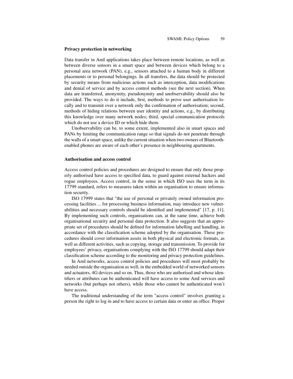#### Privacy protection in networking

Data transfer in AmI applications takes place between remote locations, as well as between diverse sensors in a smart space and between devices which belong to a personal area network (PAN), e.g., sensors attached to a human body in different placements or to personal belongings. In all transfers, the data should be protected by security means from malicious actions such as interception, data modifications and denial of service and by access control methods (see the next section). When data are transferred, anonymity, pseudonymity and unobservability should also be provided. The ways to do it include, first, methods to prove user authorisation locally and to transmit over a network only the confirmation of authorisation; second, methods of hiding relations between user identity and actions, e.g., by distributing this knowledge over many network nodes; third, special communication protocols which do not use a device ID or which hide them.

Unobservability can be, to some extent, implemented also in smart spaces and PANs by limiting the communication range so that signals do not penetrate through the walls of a smart space, unlike the current situation when two owners of Bluetoothenabled phones are aware of each other's presence in neighbouring apartments.

#### Authorisation and access control

Access control policies and procedures are designed to ensure that only those properly authorised have access to specified data, to guard against external hackers and rogue employees. Access control, in the sense in which ISO uses the term in its 17799 standard, refers to measures taken within an organisation to ensure information security.

ISO 17999 states that "the use of personal or privately owned information processing facilities ... for processing business information, may introduce new vulnerabilities and necessary controls should be identified and implemented" [17, p. 11]. By implementing such controls, organisations can, at the same time, achieve both organisational security and personal data protection. It also suggests that an appropriate set of procedures should be defined for information labelling and handling, in accordance with the classification scheme adopted by the organisation. These procedures should cover information assets in both physical and electronic formats, as well as different activities, such as copying, storage and transmission. To provide for employees' privacy, organisations complying with the ISO 17799 should adapt their classification scheme according to the monitoring and privacy protection guidelines.

In AmI networks, access control policies and procedures will most probably be needed outside the organisation as well, in the embedded world of networked sensors and actuators, 4G devices and so on. Thus, those who are authorised and whose identifiers or attributes can be authenticated will have access to some AmI services and networks (but perhaps not others), while those who cannot be authenticated won't have access.

The traditional understanding of the term "access control" involves granting a person the right to log in and to have access to certain data or enter an office. Proper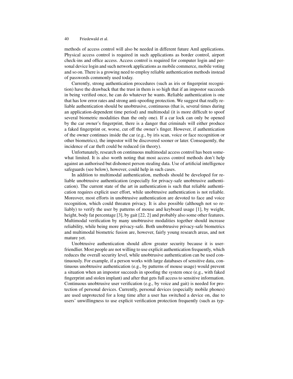methods of access control will also be needed in different future AmI applications. Physical access control is required in such applications as border control, airport check-ins and office access. Access control is required for computer login and personal device login and such network applications as mobile commerce, mobile voting and so on. There is a growing need to employ reliable authentication methods instead of passwords commonly used today.

Currently, strong authentication procedures (such as iris or fingerprint recognition) have the drawback that the trust in them is so high that if an impostor succeeds in being verified once, he can do whatever he wants. Reliable authentication is one that has low error rates and strong anti-spoofing protection. We suggest that really reliable authentication should be unobtrusive, continuous (that is, several times during an application-dependent time period) and multimodal (it is more difficult to spoof several biometric modalities than the only one). If a car lock can only be opened by the car owner's fingerprint, there is a danger that criminals will either produce a faked fingerprint or, worse, cut off the owner's finger. However, if authentication of the owner continues inside the car (e.g., by iris scan, voice or face recognition or other biometrics), the impostor will be discovered sooner or later. Consequently, the incidence of car theft could be reduced (in theory).

Unfortunately, research on continuous multimodal access control has been somewhat limited. It is also worth noting that most access control methods don't help against an authorised but dishonest person stealing data. Use of artificial intelligence safeguards (see below), however, could help in such cases.

In addition to multimodal authentication, methods should be developed for reliable unobtrusive authentication (especially for privacy-safe unobtrusive authentication). The current state of the art in authentication is such that reliable authentication requires explicit user effort, while unobtrusive authentication is not reliable. Moreover, most efforts in unobtrusive authentication are devoted to face and voice recognition, which could threaten privacy. It is also possible (although not so reliably) to verify the user by patterns of mouse and keyboard usage [1], by weight, height, body fat percentage [3], by gait [22, 2] and probably also some other features. Multimodal verification by many unobtrusive modalities together should increase reliability, while being more privacy-safe. Both unobtrusive privacy-safe biometrics and multimodal biometric fusion are, however, fairly young research areas, and not mature yet.

Unobtrusive authentication should allow greater security because it is userfriendlier. Most people are not willing to use explicit authentication frequently, which reduces the overall security level, while unobtrusive authentication can be used continuously. For example, if a person works with large databases of sensitive data, continuous unobtrusive authentication (e.g., by patterns of mouse usage) would prevent a situation when an impostor succeeds in spoofing the system once (e.g., with faked fingerprint and stolen implant) and after that gets full access to sensitive information. Continuous unobtrusive user verification (e.g., by voice and gait) is needed for protection of personal devices. Currently, personal devices (especially mobile phones) are used unprotected for a long time after a user has switched a device on, due to users' unwillingness to use explicit verification protection frequently (such as typ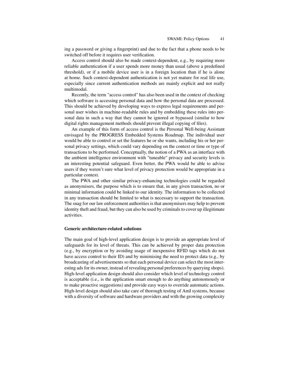ing a password or giving a fingerprint) and due to the fact that a phone needs to be switched off before it requires user verification.

Access control should also be made context-dependent, e.g., by requiring more reliable authentication if a user spends more money than usual (above a predefined threshold), or if a mobile device user is in a foreign location than if he is alone at home. Such context-dependent authentication is not yet mature for real life use, especially since current authentication methods are mainly explicit and not really multimodal.

Recently, the term "access control" has also been used in the context of checking which software is accessing personal data and how the personal data are processed. This should be achieved by developing ways to express legal requirements and personal user wishes in machine-readable rules and by embedding these rules into personal data in such a way that they cannot be ignored or bypassed (similar to how digital rights management methods should prevent illegal copying of files).

An example of this form of access control is the Personal Well-being Assistant envisaged by the PROGRESS Embedded Systems Roadmap. The individual user would be able to control or set the features he or she wants, including his or her personal privacy settings, which could vary depending on the context or time or type of transactions to be performed. Conceptually, the notion of a PWA as an interface with the ambient intelligence environment with "tuneable" privacy and security levels is an interesting potential safeguard. Even better, the PWA would be able to advise users if they weren't sure what level of privacy protection would be appropriate in a particular context.

The PWA and other similar privacy-enhancing technologies could be regarded as anonymisers, the purpose which is to ensure that, in any given transaction, no or minimal information could be linked to our identity. The information to be collected in any transaction should be limited to what is necessary to support the transaction. The snag for our law enforcement authorities is that anonymisers may help to prevent identity theft and fraud, but they can also be used by criminals to cover up illegitimate activities.

#### Generic architecture-related solutions

The main goal of high-level application design is to provide an appropriate level of safeguards for its level of threats. This can be achieved by proper data protection (e.g., by encryption or by avoiding usage of inexpensive RFID tags which do not have access control to their ID) and by minimising the need to protect data (e.g., by broadcasting of advertisements so that each personal device can select the most interesting ads for its owner, instead of revealing personal preferences by querying shops). High-level application design should also consider which level of technology control is acceptable (i.e., is the application smart enough to do anything autonomously or to make proactive suggestions) and provide easy ways to override automatic actions. High-level design should also take care of thorough testing of AmI systems, because with a diversity of software and hardware providers and with the growing complexity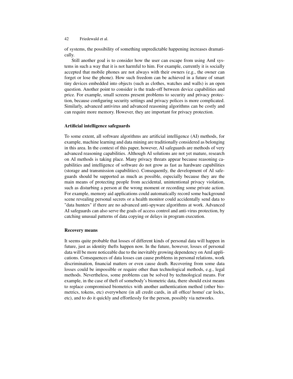of systems, the possibility of something unpredictable happening increases dramatically.

Still another goal is to consider how the user can escape from using AmI systems in such a way that it is not harmful to him. For example, currently it is socially accepted that mobile phones are not always with their owners (e.g., the owner can forget or lose the phone). How such freedom can be achieved in a future of smart tiny devices embedded into objects (such as clothes, watches and walls) is an open question. Another point to consider is the trade-off between device capabilities and price. For example, small screens present problems to security and privacy protection, because configuring security settings and privacy polices is more complicated. Similarly, advanced antivirus and advanced reasoning algorithms can be costly and can require more memory. However, they are important for privacy protection.

## Artificial intelligence safeguards

To some extent, all software algorithms are artificial intelligence (AI) methods, for example, machine learning and data mining are traditionally considered as belonging in this area. In the context of this paper, however, AI safeguards are methods of very advanced reasoning capabilities. Although AI solutions are not yet mature, research on AI methods is taking place. Many privacy threats appear because reasoning capabilities and intelligence of software do not grow as fast as hardware capabilities (storage and transmission capabilities). Consequently, the development of AI safeguards should be supported as much as possible, especially because they are the main means of protecting people from accidental, unintentional privacy violation, such as disturbing a person at the wrong moment or recording some private action. For example, memory aid applications could automatically record some background scene revealing personal secrets or a health monitor could accidentally send data to "data hunters" if there are no advanced anti-spyware algorithms at work. Advanced AI safeguards can also serve the goals of access control and anti-virus protection, by catching unusual patterns of data copying or delays in program execution.

### Recovery means

It seems quite probable that losses of different kinds of personal data will happen in future, just as identity thefts happen now. In the future, however, losses of personal data will be more noticeable due to the inevitably growing dependency on AmI applications. Consequences of data losses can cause problems in personal relations, work discrimination, financial matters or even cause death. Recovering from some data losses could be impossible or require other than technological methods, e.g., legal methods. Nevertheless, some problems can be solved by technological means. For example, in the case of theft of somebody's biometric data, there should exist means to replace compromised biometrics with another authentication method (other biometrics, tokens, etc) everywhere (in all credit cards, in all office/ home/ car locks, etc), and to do it quickly and effortlessly for the person, possibly via networks.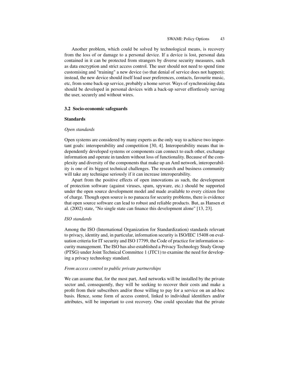Another problem, which could be solved by technological means, is recovery from the loss of or damage to a personal device. If a device is lost, personal data contained in it can be protected from strangers by diverse security measures, such as data encryption and strict access control. The user should not need to spend time customising and "training" a new device (so that denial of service does not happen); instead, the new device should itself load user preferences, contacts, favourite music, etc, from some back-up service, probably a home server. Ways of synchronizing data should be developed in personal devices with a back-up server effortlessly serving the user, securely and without wires.

#### 3.2 Socio-economic safeguards

#### Standards

#### *Open standards*

Open systems are considered by many experts as the only way to achieve two important goals: interoperability and competition [30, 4]. Interoperability means that independently developed systems or components can connect to each other, exchange information and operate in tandem without loss of functionality. Because of the complexity and diversity of the components that make up an AmI network, interoperability is one of its biggest technical challenges. The research and business community will take any technique seriously if it can increase interoperability.

Apart from the positive effects of open innovations as such, the development of protection software (against viruses, spam, spyware, etc.) should be supported under the open source development model and made available to every citizen free of charge. Though open source is no panacea for security problems, there is evidence that open source software can lead to robust and reliable products. But, as Hansen et al. (2002) state, "No single state can finance this development alone" [13, 23].

#### *ISO standards*

Among the ISO (International Organization for Standardization) standards relevant to privacy, identity and, in particular, information security is ISO/IEC 15408 on evaluation criteria for IT security and ISO 17799, the Code of practice for information security management. The ISO has also established a Privacy Technology Study Group (PTSG) under Joint Technical Committee 1 (JTC1) to examine the need for developing a privacy technology standard.

#### *From access control to public private partnerships*

We can assume that, for the most part, AmI networks will be installed by the private sector and, consequently, they will be seeking to recover their costs and make a profit from their subscribers and/or those willing to pay for a service on an ad-hoc basis. Hence, some form of access control, linked to individual identifiers and/or attributes, will be important to cost recovery. One could speculate that the private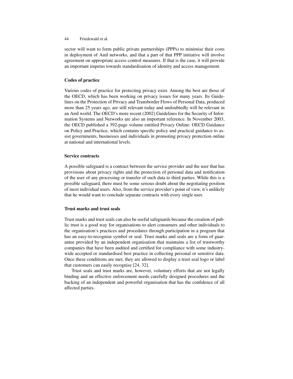sector will want to form public private partnerships (PPPs) to minimise their costs in deployment of AmI networks, and that a part of that PPP initiative will involve agreement on appropriate access control measures. If that is the case, it will provide an important impetus towards standardisation of identity and access management.

## Codes of practice

Various codes of practice for protecting privacy exist. Among the best are those of the OECD, which has been working on privacy issues for many years. Its Guidelines on the Protection of Privacy and Transborder Flows of Personal Data, produced more than 25 years ago, are still relevant today and undoubtedly will be relevant in an AmI world. The OECD's more recent (2002) Guidelines for the Security of Information Systems and Networks are also an important reference. In November 2003, the OECD published a 392-page volume entitled Privacy Online: OECD Guidance on Policy and Practice, which contains specific policy and practical guidance to assist governments, businesses and individuals in promoting privacy protection online at national and international levels.

## Service contracts

A possible safeguard is a contract between the service provider and the user that has provisions about privacy rights and the protection of personal data and notification of the user of any processing or transfer of such data to third parties. While this is a possible safeguard, there must be some serious doubt about the negotiating position of most individual users. Also, from the service provider's point of view, it's unlikely that he would want to conclude separate contracts with every single user.

## Trust marks and trust seals

Trust marks and trust seals can also be useful safeguards because the creation of public trust is a good way for organisations to alert consumers and other individuals to the organisation's practices and procedures through participation in a program that has an easy-to-recognise symbol or seal. Trust marks and seals are a form of guarantee provided by an independent organisation that maintains a list of trustworthy companies that have been audited and certified for compliance with some industrywide accepted or standardised best practice in collecting personal or sensitive data. Once these conditions are met, they are allowed to display a trust seal logo or label that customers can easily recognise [24, 32].

Trust seals and trust marks are, however, voluntary efforts that are not legally binding and an effective enforcement needs carefully designed procedures and the backing of an independent and powerful organisation that has the confidence of all affected parties.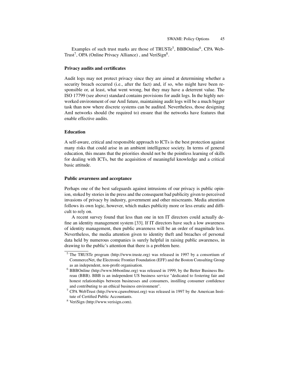Examples of such trust marks are those of TRUSTe<sup>5</sup>, BBBOnline<sup>6</sup>, CPA Web-Trust<sup>7</sup>, OPA (Online Privacy Alliance), and VeriSign<sup>8</sup>.

#### Privacy audits and certificates

Audit logs may not protect privacy since they are aimed at determining whether a security breach occurred (i.e., after the fact) and, if so, who might have been responsible or, at least, what went wrong, but they may have a deterrent value. The ISO 17799 (see above) standard contains provisions for audit logs. In the highly networked environment of our AmI future, maintaining audit logs will be a much bigger task than now where discrete systems can be audited. Nevertheless, those designing AmI networks should (be required to) ensure that the networks have features that enable effective audits.

#### Education

A self-aware, critical and responsible approach to ICTs is the best protection against many risks that could arise in an ambient intelligence society. In terms of general education, this means that the priorities should not be the pointless learning of skills for dealing with ICTs, but the acquisition of meaningful knowledge and a critical basic attitude.

#### Public awareness and acceptance

Perhaps one of the best safeguards against intrusions of our privacy is public opinion, stoked by stories in the press and the consequent bad publicity given to perceived invasions of privacy by industry, government and other miscreants. Media attention follows its own logic, however, which makes publicity more or less erratic and difficult to rely on.

A recent survey found that less than one in ten IT directors could actually define an identity management system [33]. If IT directors have such a low awareness of identity management, then public awareness will be an order of magnitude less. Nevertheless, the media attention given to identity theft and breaches of personal data held by numerous companies is surely helpful in raising public awareness, in drawing to the public's attention that there is a problem here.

<sup>5</sup> The TRUSTe program (http://www.truste.org) was released in 1997 by a consortium of CommerceNet, the Electronic Frontier Foundation (EFF) and the Boston Consulting Group as an independent, non-profit organisation.

<sup>6</sup> BBBOnline (http://www.bbbonline.org) was released in 1999, by the Better Business Bureau (BBB). BBB is an independent US business service "dedicated to fostering fair and honest relationships between businesses and consumers, instilling consumer confidence and contributing to an ethical business environment".

<sup>7</sup> CPA WebTrust (http://www.cpawebtrust.org) was released in 1997 by the American Institute of Certified Public Accountants.

<sup>8</sup> VeriSign (http://www.verisign.com).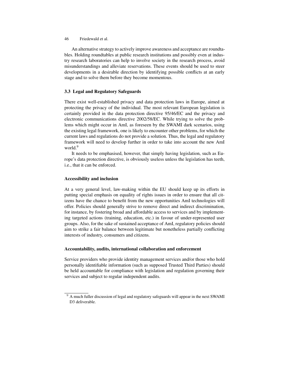An alternative strategy to actively improve awareness and acceptance are roundtables. Holding roundtables at public research institutions and possibly even at industry research laboratories can help to involve society in the research process, avoid misunderstandings and alleviate reservations. These events should be used to steer developments in a desirable direction by identifying possible conflicts at an early stage and to solve them before they become momentous.

## 3.3 Legal and Regulatory Safeguards

There exist well-established privacy and data protection laws in Europe, aimed at protecting the privacy of the individual. The most relevant European legislation is certainly provided in the data protection directive 95/46/EC and the privacy and electronic communications directive 2002/58/EC. While trying to solve the problems which might occur in AmI, as foreseen by the SWAMI dark scenarios, using the existing legal framework, one is likely to encounter other problems, for which the current laws and regulations do not provide a solution. Thus, the legal and regulatory framework will need to develop further in order to take into account the new AmI world.<sup>9</sup>

It needs to be emphasised, however, that simply having legislation, such as Europe's data protection directive, is obviously useless unless the legislation has teeth, i.e., that it can be enforced.

## Accessibility and inclusion

At a very general level, law-making within the EU should keep up its efforts in putting special emphasis on equality of rights issues in order to ensure that all citizens have the chance to benefit from the new opportunities AmI technologies will offer. Policies should generally strive to remove direct and indirect discrimination, for instance, by fostering broad and affordable access to services and by implementing targeted actions (training, education, etc.) in favour of under-represented user groups. Also, for the sake of sustained acceptance of AmI, regulatory policies should aim to strike a fair balance between legitimate but nonetheless partially conflicting interests of industry, consumers and citizens.

### Accountability, audits, international collaboration and enforcement

Service providers who provide identity management services and/or those who hold personally identifiable information (such as supposed Trusted Third Parties) should be held accountable for compliance with legislation and regulation governing their services and subject to regular independent audits.

<sup>&</sup>lt;sup>9</sup> A much fuller discussion of legal and regulatory safeguards will appear in the next SWAMI D3 deliverable.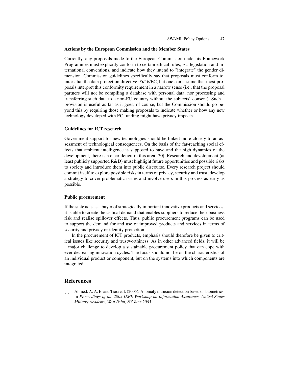#### Actions by the European Commission and the Member States

Currently, any proposals made to the European Commission under its Framework Programmes must explicitly conform to certain ethical rules, EU legislation and international conventions, and indicate how they intend to "integrate" the gender dimension. Commission guidelines specifically say that proposals must conform to, inter alia, the data protection directive 95/46/EC, but one can assume that most proposals interpret this conformity requirement in a narrow sense (i.e., that the proposal partners will not be compiling a database with personal data, nor processing and transferring such data to a non-EU country without the subjects' consent). Such a provision is useful as far as it goes, of course, but the Commission should go beyond this by requiring those making proposals to indicate whether or how any new technology developed with EC funding might have privacy impacts.

#### Guidelines for ICT research

Government support for new technologies should be linked more closely to an assessment of technological consequences. On the basis of the far-reaching social effects that ambient intelligence is supposed to have and the high dynamics of the development, there is a clear deficit in this area [20]. Research and development (at least publicly supported R&D) must highlight future opportunities and possible risks to society and introduce them into public discourse. Every research project should commit itself to explore possible risks in terms of privacy, security and trust, develop a strategy to cover problematic issues and involve users in this process as early as possible.

#### Public procurement

If the state acts as a buyer of strategically important innovative products and services, it is able to create the critical demand that enables suppliers to reduce their business risk and realise spillover effects. Thus, public procurement programs can be used to support the demand for and use of improved products and services in terms of security and privacy or identity protection.

In the procurement of ICT products, emphasis should therefore be given to critical issues like security and trustworthiness. As in other advanced fields, it will be a major challenge to develop a sustainable procurement policy that can cope with ever-decreasing innovation cycles. The focus should not be on the characteristics of an individual product or component, but on the systems into which components are integrated.

### **References**

[1] Ahmed, A. A. E. and Traore, I. (2005). Anomaly intrusion detection based on biometrics. In *Proceedings of the 2005 IEEE Workshop on Information Assurance, United States Military Academy, West Point, NY June 2005*.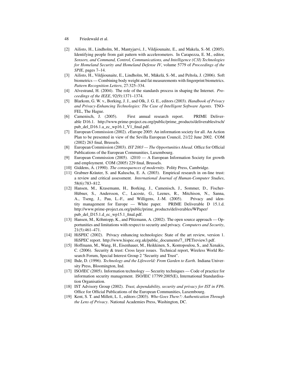- [2] Ailisto, H., Lindholm, M., Mantyjarvi, J., Vildjiounaite, E., and Makela, S.-M. (2005). Identifying people from gait pattern with accelerometers. In Carapezza, E. M., editor, *Sensors, and Command, Control, Communications, and Intelligence (C3I) Technologies for Homeland Security and Homeland Defense IV*, volume 5779 of *Proceedings of the SPIE*, pages 7–14.
- [3] Ailisto, H., Vildjiounaite, E., Lindholm, M., Mäkelä, S.-M., and Peltola, J. (2006). Soft biometrics — Combining body weight and fat measurements with fingerprint biometrics. *Pattern Recognition Letters*, 27:325–334.
- [4] Alvestrand, H. (2004). The role of the standards process in shaping the Internet. *Proceedings of the IEEE*, 92(9):1371–1374.
- [5] Blarkom, G. W. v., Borking, J. J., and Olk, J. G. E., editors (2003). *Handbook of Privacy and Privacy-Enhancing Technologies: The Case of Intelligent Software Agents*. TNO-FEL, The Hague.
- [6] Camenisch, J. (2005). First annual research report. PRIME Deliverable D16.1. http://www.prime-project.eu.org/public/prime\_products/deliverables/rsch/ pub\_del\_D16.1.a\_ec\_wp16.1\_V1\_final.pdf.
- [7] European Commission (2002). *e*Europe 2005: An information society for all. An Action Plan to be presented in view of the Sevilla European Council, 21/22 June 2002. COM (2002) 263 final, Brussels.
- [8] European Commission (2003). *IST 2003 The Opportunities Ahead*. Office for Official Publications of the European Communities, Luxembourg.
- [9] European Commission (2005). i2010 A European Information Society for growth and employment. COM (2005) 229 final, Brussels.
- [10] Giddens, A. (1990). *The consequences of modernity*. Polity Press, Cambridge.
- [11] Grabner-Kräuter, S. and Kaluscha, E. A. (2003). Empirical research in on-line trust: a review and critical assessment. *International Journal of Human-Computer Studies*, 58(6):783–812.
- [12] Hansen, M., Krasemann, H., Borking, J., Camenisch, J., Sommer, D., Fischer-Hübner, S., Andersson, C., Lacoste, G., Leenes, R., Mitchison, N., Sanna, A., Tseng, J., Pau, L.-F., and Willigens, J.-M. (2005). Privacy and identity management for Europe — White paper. PRIME Deliverable D 15.1.d. http://www.prime-project.eu.org/public/prime\_products/deliverables/WPaper/ pub\_del\_D15.1.d\_ec\_wp15.1\_final.pdf.
- [13] Hansen, M., Köhntopp, K., and Pfitzmann, A. (2002). The open source approach Opportunities and limitations with respect to security and privacy. *Computers and Security*, 21(5):461–471.
- [14] HiSPEC (2002). Privacy enhancing technologies: State of the art review, version 1. HiSPEC report. http://www.hispec.org.uk/public\_documents/7\_1PETreview3.pdf.
- [15] Hoffmann, M., Wang, H., Eisenhauer, M., Heikkinen, S., Kontopoulou, S., and Xenakis, C. (2006). Security & trust: Cross layer issues. Technical report, Wireless World Research Forum, Special Interest Group 2 "Security and Trust".
- [16] Ihde, D. (1996). *Technology and the Lifeworld: From Garden to Earth*. Indiana University Press, Bloomington, Ind.
- [17] ISO/IEC (2005). Information technology Security techniques Code of practice for information security management. ISO/IEC 17799:2005(E), International Standardisation Organisation.
- [18] IST Advisory Group (2002). *Trust, dependability, security and privacy for IST in FP6*. Office for Official Publications of the European Communities, Luxembourg.
- [19] Kent, S. T. and Millett, L. I., editors (2003). *Who Goes There?: Authentication Through the Lens of Privacy*. National Academies Press, Washington, DC.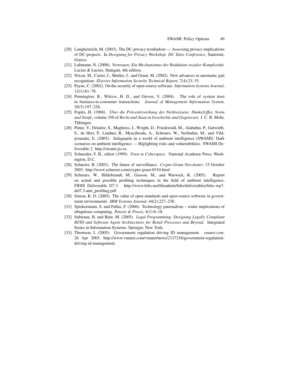- [20] Langheinrich, M. (2003). The DC-privacy troubadour Assessing privacy implications of DC-projects. In *Designing for Privacy Workshop. DC Tales Conference*, Santorini, Greece.
- [21] Luhmann, N. (2000). *Vertrauen: Ein Mechanismus der Reduktion sozialer Komplexität*. Lucius & Lucius, Stuttgart, 4th edition.
- [22] Nixon, M., Carter, J., Shutler, J., and Grant, M. (2002). New advances in automatic gait recognition. *Elsevier Information Security Technical Report*, 7(4):23–35.
- [23] Payne, C. (2002). On the security of open source software. *Information Systems Journal*, 12(1):61–78.
- [24] Pennington, R., Wilcox, H. D., and Grover, V. (2004). The role of system trust in business-to-consumer transactions. *Journal of Management Information System*, 20(3):197–226.
- [25] Popitz, H. (1968). *Über die Präventivwirkung des Nichtwissens: Dunkelziffer, Norm und Strafe*, volume 350 of *Recht und Staat in Geschichte und Gegenwart*. J. C. B. Mohr, Tübingen.
- [26] Punie, Y., Delaitre, S., Maghiros, I., Wright, D., Friedewald, M., Alahuhta, P., Gutwirth, S., de Hert, P., Lindner, R., Moscibroda, A., Schreurs, W., Verlinden, M., and Vildjiounaite, E. (2005). Safeguards in a world of ambient intelligence (SWAMI): Dark scenarios on ambient intelligence — Higlighting risks and vulnerabilities. SWAMI Deliverable 2. http://swami.jrc.es
- [27] Schneider, F. B., editor (1999). *Trust in Cyberspace*. National Academy Press, Washington, D.C.
- [28] Schneier, B. (2003). The future of surveillance. *Crypto-Gram Newsletter*, 15 October 2003. http://www.schneier.com/crypto-gram-0310.html
- [29] Schreurs, W., Hildebrandt, M., Gasson, M., and Warwick, K. (2005). Report on actual and possible profiling techniques in the field of ambient intelligence. FIDIS Deliverable D7.3. http://www.fidis.net/fileadmin/fidis/deliverables/fidis-wp7 del7.3.ami\_profiling.pdf
- [30] Simon, K. D. (2005). The value of open standards and open-source software in government environments. *IBM Systems Journal*, 44(2):227–238.
- [31] Spiekermann, S. and Pallas, F. (2006). Technology paternalism wider implications of ubiquitous computing. *Poiesis & Praxis*, 4(1):6–18.
- [32] Subirana, B. and Bain, M. (2005). *Legal Programming: Designing Legally Compliant RFID and Software Agent Architectures for Retail Processes and Beyond*. Integrated Series in Information Systems. Springer, New York.
- [33] Thomson, I. (2005). Government regulation driving ID management. *vnunet.com*. 26 Apr 2005. http://www.vnunet.com/vnunet/news/2127216/government-regulationdriving-id-management.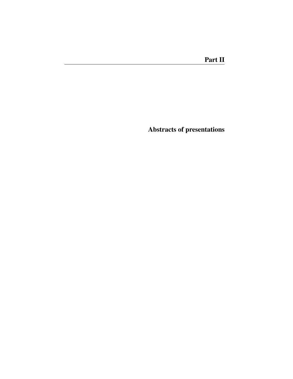Abstracts of presentations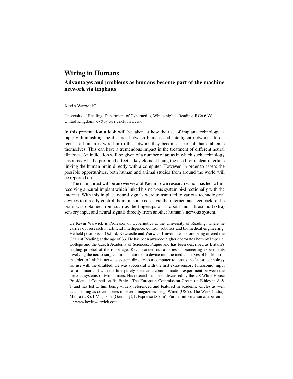# Wiring in Humans

## Advantages and problems as humans become part of the machine network via implants

#### Kevin Warwick<sup>∗</sup>

University of Reading, Department of Cybernetics, Whiteknights, Reading, RG6 6AY, United Kingdom, kw@cyber.rdg.ac.uk

In this presentation a look will be taken at how the use of implant technology is rapidly diminishing the distance between humans and intelligent networks. In effect as a human is wired in to the network they become a part of that ambience themselves. This can have a tremendous impact in the treatment of different neural illnesses. An indication will be given of a number of areas in which such technology has already had a profound effect, a key element being the need for a clear interface linking the human brain directly with a computer. However, in order to assess the possible opportunities, both human and animal studies from around the world will be reported on.

The main thrust will be an overview of Kevin's own research which has led to him receiving a neural implant which linked his nervous system bi-directionally with the internet. With this in place neural signals were transmitted to various technological devices to directly control them, in some cases via the internet, and feedback to the brain was obtained from such as the fingertips of a robot hand, ultrasonic (extra) sensory input and neural signals directly from another human's nervous system.

<sup>∗</sup> Dr Kevin Warwick is Professor of Cybernetics at the University of Reading, where he carries out research in artificial intelligence, control, robotics and biomedical engineering. He held positions at Oxford, Newcastle and Warwick Universities before being offered the Chair at Reading at the age of 33. He has been awarded higher doctorates both by Imperial College and the Czech Academy of Sciences, Prague and has been described as Britain's leading prophet of the robot age. Kevin carried out a series of pioneering experiments involving the neuro-surgical implantation of a device into the median nerves of his left arm in order to link his nervous system directly to a computer to assess the latest technology for use with the disabled. He was successful with the first extra-sensory (ultrasonic) input for a human and with the first purely electronic communication experiment between the nervous systems of two humans. His research has been discussed by the US White House Presidential Council on BioEthics, The European Commission Group on Ethics in S & T and has led to him being widely referenced and featured in academic circles as well as appearing as cover stories in several magazines  $-e.g.$  Wired (USA), The Week (India), Mensa (UK), I-Magazine (Germany), L'Espresso (Spain). Further information can be found at: www.kevinwarwick.com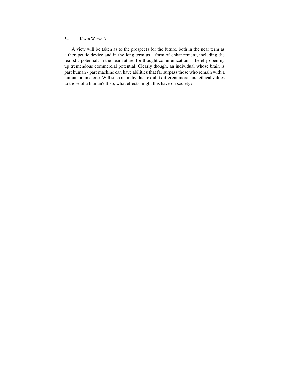#### 54 Kevin Warwick

A view will be taken as to the prospects for the future, both in the near term as a therapeutic device and in the long term as a form of enhancement, including the realistic potential, in the near future, for thought communication – thereby opening up tremendous commercial potential. Clearly though, an individual whose brain is part human - part machine can have abilities that far surpass those who remain with a human brain alone. Will such an individual exhibit different moral and ethical values to those of a human? If so, what effects might this have on society?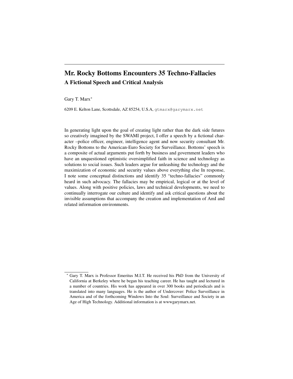# Mr. Rocky Bottoms Encounters 35 Techno-Fallacies A Fictional Speech and Critical Analysis

Gary T. Marx<sup>∗</sup>

6209 E. Kelton Lane, Scottsdale, AZ 85254, U.S.A, gtmarx@garymarx.net

In generating light upon the goal of creating light rather than the dark side futures so creatively imagined by the SWAMI project, I offer a speech by a fictional character –police officer, engineer, intelligence agent and now security consultant Mr. Rocky Bottoms to the American-Euro Society for Surveillance. Bottoms' speech is a composite of actual arguments put forth by business and government leaders who have an unquestioned optimistic oversimplified faith in science and technology as solutions to social issues. Such leaders argue for unleashing the technology and the maximization of economic and security values above everything else In response, I note some conceptual distinctions and identify 35 "techno-fallacies" commonly heard in such advocacy. The fallacies may be empirical, logical or at the level of values. Along with positive policies, laws and technical developments, we need to continually interrogate our culture and identify and ask critical questions about the invisible assumptions that accompany the creation and implementation of AmI and related information environments.

<sup>∗</sup> Gary T. Marx is Professor Emeritus M.I.T. He received his PhD from the University of California at Berkeley where he began his teaching career. He has taught and lectured in a number of countries. His work has appeared in over 300 books and periodicals and is translated into many languages. He is the author of Undercover: Police Surveillance in America and of the forthcoming Windows Into the Soul: Surveillance and Society in an Age of High Technology. Additional information is at wwwgarymarx.net.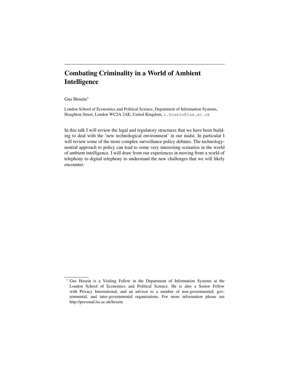# Combating Criminality in a World of Ambient Intelligence

### Gus Hosein<sup>∗</sup>

London School of Economics and Political Science, Department of Information Systems, Houghton Street, London WC2A 2AE, United Kingdom, i.hosein@lse.ac.uk

In this talk I will review the legal and regulatory structures that we have been building to deal with the 'new technological environment' in our midst. In particular I will review some of the more complex surveillance policy debates. The technologyneutral approach to policy can lead to some very interesting scenarios in the world of ambient intelligence. I will draw from our experiences in moving from a world of telephony to digital telephony to understand the new challenges that we will likely encounter.

<sup>∗</sup> Gus Hosein is a Visiting Fellow in the Department of Information Systems at the London School of Economics and Political Science. He is also a Senior Fellow with Privacy International, and an advisor to a number of non-governmental, governmental, and inter-governmental organisations. For more information please see http://personal.lse.ac.uk/hosein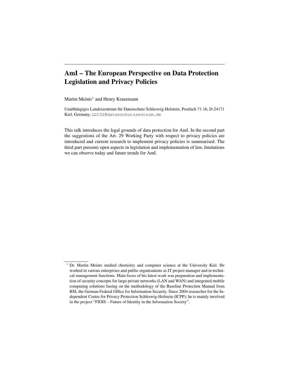# AmI – The European Perspective on Data Protection Legislation and Privacy Policies

Martin Meints<sup>∗</sup> and Henry Krasemann

Unabhängiges Landeszentrum für Datenschutz Schleswig-Holstein, Postfach 71 16, D-24171 Kiel, Germany, LD102@datenschutzzentrum.de

This talk introduces the legal grounds of data protection for AmI. In the second part the suggestions of the Art. 29 Working Party with respect to privacy policies are introduced and current research to implement privacy policies is summarised. The third part presents open aspects in legislation and implementation of law, limitations we can observe today and future trends for AmI.

<sup>∗</sup> Dr. Martin Meints studied chemistry and computer science at the University Kiel. He worked in various enterprises and public organisations as IT project manager and in technical management functions. Main focus of his latest work was preparation and implementation of security concepts for large private networks (LAN and WAN) and integrated mobile computing solutions basing on the methodology of the Baseline Protection Manual from BSI, the German Federal Office for Information Security. Since 2004 researcher for the Independent Centre for Privacy Protection Schleswig-Holstein (ICPP); he is mainly involved in the project "FIDIS – Future of Identity in the Information Society".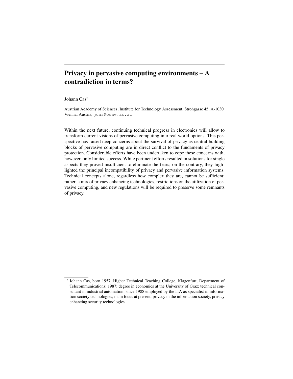# Privacy in pervasive computing environments – A contradiction in terms?

Johann Cas<sup>∗</sup>

Austrian Academy of Sciences, Institute for Technology Assessment, Strohgasse 45, A-1030 Vienna, Austria, jcas@oeaw.ac.at

Within the next future, continuing technical progress in electronics will allow to transform current visions of pervasive computing into real world options. This perspective has raised deep concerns about the survival of privacy as central building blocks of pervasive computing are in direct conflict to the fundaments of privacy protection. Considerable efforts have been undertaken to cope these concerns with, however, only limited success. While pertinent efforts resulted in solutions for single aspects they proved insufficient to eliminate the fears; on the contrary, they highlighted the principal incompatibility of privacy and pervasive information systems. Technical concepts alone, regardless how complex they are, cannot be sufficient; rather, a mix of privacy enhancing technologies, restrictions on the utilization of pervasive computing, and new regulations will be required to preserve some remnants of privacy.

<sup>∗</sup> Johann Cas, born 1957. Higher Technical Teaching College, Klagenfurt, Department of Telecommunications; 1987: degree in economics at the University of Graz; technical consultant in industrial automation; since 1988 employed by the ITA as specialist in information society technologies; main focus at present: privacy in the information society, privacy enhancing security technologies.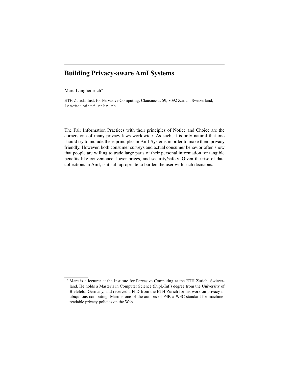# Building Privacy-aware AmI Systems

Marc Langheinrich<sup>∗</sup>

ETH Zurich, Inst. for Pervasive Computing, Clausiusstr. 59, 8092 Zurich, Switzerland, langhein@inf.ethz.ch

The Fair Information Practices with their principles of Notice and Choice are the cornerstone of many privacy laws worldwide. As such, it is only natural that one should try to include these principles in AmI-Systems in order to make them privacy friendly. However, both consumer surveys and actual consumer behavior often show that people are willing to trade large parts of their personal information for tangible benefits like convenience, lower prices, and security/safety. Given the rise of data collections in AmI, is it still apropriate to burden the user with such decisions.

Marc is a lecturer at the Institute for Pervasive Computing at the ETH Zurich, Switzerland. He holds a Master's in Computer Science (Dipl.-Inf.) degree from the University of Bielefeld, Germany, and received a PhD from the ETH Zurich for his work on privacy in ubiquitous computing. Marc is one of the authors of P3P, a W3C-standard for machinereadable privacy policies on the Web.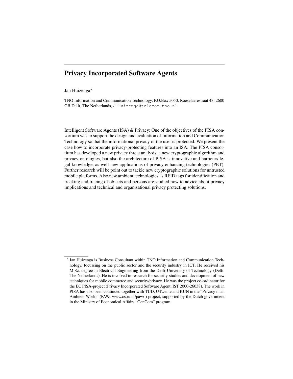# Privacy Incorporated Software Agents

#### Jan Huizenga<sup>∗</sup>

TNO Information and Communication Technology, P.O.Box 5050, Roeselaerestraat 43, 2600 GB Delft, The Netherlands, J.Huizenga@telecom.tno.nl

Intelligent Software Agents (ISA) & Privacy: One of the objectives of the PISA consortium was to support the design and evaluation of Information and Communication Technology so that the informational privacy of the user is protected. We present the case how to incorporate privacy-protecting features into an ISA. The PISA consortium has developed a new privacy threat analysis, a new cryptographic algorithm and privacy ontologies, but also the architecture of PISA is innovative and harbours legal knowledge, as well new applications of privacy enhancing technologies (PET). Further research will be point out to tackle new cryptographic solutions for untrusted mobile platforms. Also new ambient technologies as RFID tags for identification and tracking and tracing of objects and persons are studied now to advice about privacy implications and technical and organisational privacy protecting solutions.

<sup>∗</sup> Jan Huizenga is Business Consultant within TNO Information and Communication Technology, focussing on the public sector and the security industry in ICT. He received his M.Sc. degree in Electrical Engineering from the Delft University of Technology (Delft, The Netherlands). He is involved in research for security-studies and development of new techniques for mobile commerce and security/privacy. He was the project co-ordinator for the EC PISA-project (Privacy Incorporated Software Agent, IST 2000-26038). The work in PISA has also been continued together with TUD, UTwente and KUN in the "Privacy in an Ambient World" (PAW: www.cs.ru.nl/paw/ ) project, supported by the Dutch government in the Ministry of Economical Affairs "GenCom" program.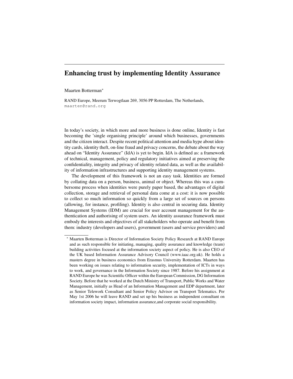# Enhancing trust by implementing Identity Assurance

#### Maarten Botterman<sup>∗</sup>

RAND Europe, Meerum Terwogtlaan 269, 3056 PP Rotterdam, The Netherlands, maarten@rand.org

In today's society, in which more and more business is done online, Identity is fast becoming the 'single organising principle' around which businesses, governments and the citizen interact. Despite recent political attention and media hype about identity cards, identity theft, on-line fraud and privacy concerns, the debate about the way ahead on "Identity Assurance" (IdA) is yet to begin. IdA is defined as: a framework of technical, management, policy and regulatory initiatives aimed at preserving the confidentiality, integrity and privacy of identity related data, as well as the availability of information infrastructures and supporting identity management systems.

The development of this framework is not an easy task. Identities are formed by collating data on a person, business, animal or object. Whereas this was a cumbersome process when identities were purely paper based, the advantages of digital collection, storage and retrieval of personal data come at a cost: it is now possible to collect so much information so quickly from a large set of sources on persons (allowing, for instance, profiling). Identity is also central in securing data. Identity Management Systems (IDM) are crucial for user account management for the authentication and authorising of system users. An identity assurance framework must embody the interests and objectives of all stakeholders who operate and benefit from them: industry (developers and users), government (users and service providers) and

<sup>∗</sup> Maarten Botterman is Director of Information Society Policy Research at RAND Europe and as such responsible for initiating, managing, quality assurance and knowledge (team) building activities focused at the information society aspect of policy. He is also CEO of the UK based Information Assurance Advisory Council (www.iaac.org.uk). He holds a masters degree in business economics from Erasmus University Rotterdam. Maarten has been working on issues relating to information security, implementation of ICTs in ways to work, and governance in the Information Society since 1987. Before his assignment at RAND Europe he was Scientific Officer within the European Commission, DG Information Society. Before that he worked at the Dutch Ministry of Transport, Public Works and Water Management, initially as Head of an Information Management and EDP department, later as Senior Telework Consultant and Senior Policy Advisor on Transport Telematics. Per May 1st 2006 he will leave RAND and set up his business as independent consultant on information society impact, information assurance,and corporate social responsibility.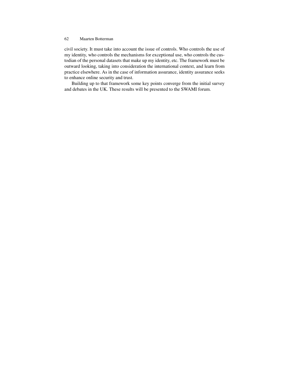civil society. It must take into account the issue of controls. Who controls the use of my identity, who controls the mechanisms for exceptional use, who controls the custodian of the personal datasets that make up my identity, etc. The framework must be outward looking, taking into consideration the international context, and learn from practice elsewhere. As in the case of information assurance, identity assurance seeks to enhance online security and trust.

Building up to that framework some key points converge from the initial survey and debates in the UK. These results will be presented to the SWAMI forum.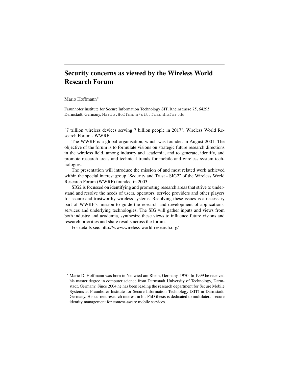# Security concerns as viewed by the Wireless World Research Forum

#### Mario Hoffmann<sup>∗</sup>

Fraunhofer Institute for Secure Information Technology SIT, Rheinstrasse 75, 64295 Darmstadt, Germany, Mario.Hoffmann@sit.fraunhofer.de

"7 trillion wireless devices serving 7 billion people in 2017", Wireless World Research Forum - WWRF

The WWRF is a global organisation, which was founded in August 2001. The objective of the forum is to formulate visions on strategic future research directions in the wireless field, among industry and academia, and to generate, identify, and promote research areas and technical trends for mobile and wireless system technologies.

The presentation will introduce the mission of and most related work achieved within the special interest group "Security and Trust - SIG2" of the Wireless World Research Forum (WWRF) founded in 2003.

SIG2 is focussed on identifying and promoting research areas that strive to understand and resolve the needs of users, operators, service providers and other players for secure and trustworthy wireless systems. Resolving these issues is a necessary part of WWRF's mission to guide the research and development of applications, services and underlying technologies. The SIG will gather inputs and views from both industry and academia, synthesize these views to influence future visions and research priorities and share results across the forum.

For details see: http://www.wireless-world-research.org/

Mario D. Hoffmann was born in Neuwied am Rhein, Germany, 1970. In 1999 he received his master degree in computer science from Darmstadt University of Technology, Darmstadt, Germany. Since 2004 he has been leading the research department for Secure Mobile Systems at Fraunhofer Institute for Secure Information Technology (SIT) in Darmstadt, Germany. His current research interest in his PhD thesis is dedicated to multilateral secure identity management for context-aware mobile services.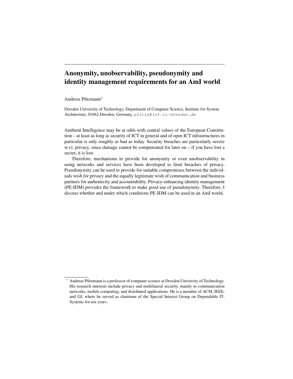# Anonymity, unobservability, pseudonymity and identity management requirements for an AmI world

Andreas Pfitzmann<sup>∗</sup>

Dresden University of Technology, Department of Computer Science, Institute for System Architecture, 01062 Dresden, Germany, pfitza@inf.tu-dresden.de

Ambient Intelligence may be at odds with central values of the European Constitution – at least as long as security of ICT in general and of open ICT infrastructures in particular is only roughly as bad as today. Security breaches are particularly severe w.r.t. privacy, since damage cannot be compensated for later on – if you have lost a secret, it is lost.

Therefore, mechanisms to provide for anonymity or even unobservability in using networks and services have been developed to limit breaches of privacy. Pseudonymity can be used to provide for suitable compromises between the individuals wish for privacy and the equally legitimate wish of communication and business partners for authenticity and accountability. Privacy-enhancing identity management (PE-IDM) provides the framework to make good use of pseudonymity. Therefore, I discuss whether and under which conditions PE-IDM can be used in an AmI world.

<sup>∗</sup> Andreas Pfitzmann is a professor of computer science at Dresden University of Technology. His research interests include privacy and multilateral security, mainly in communication networks, mobile computing, and distributed applications. He is a member of ACM, IEEE, and GI, where he served as chairman of the Special Interest Group on Dependable IT-Systems for ten years.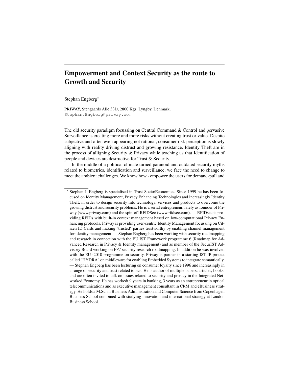# Empowerment and Context Security as the route to Growth and Security

Stephan Engberg<sup>∗</sup>

PRIWAY, Stengaards Alle 33D, 2800 Kgs. Lyngby, Denmark, Stephan.Engberg@priway.com

The old security paradigm focussing on Central Command & Control and pervasive Surveillance is creating more and more risks without creating trust or value. Despite subjective and often even appearing not rational, consumer risk perception is slowly aligning with reality driving distrust and growing resistance. Identity Theft are in the process of alligning Security & Privacy while teaching us that Identification of people and devices are destructive for Trust & Security.

In the middle of a political climate turned paranoid and outdated security myths related to biometrics, identification and surveillance, we face the need to change to meet the ambient challenges. We know how - empower the users for demand-pull and

<sup>∗</sup> Stephan J. Engberg is specialised in Trust Socio/Economics. Since 1999 he has been focused on Identity Management, Privacy Enhancing Technologies and increasingly Identity Theft, in order to design security into technology, services and products to overcome the growing distrust and security problems. He is a serial entrepreneur, lately as founder of Priway (www.priway.com) and the spin-off RFIDSec (www.rfidsec.com). — RFIDsec is providing RFIDs with built-in context management based on low-computational Privacy Enhancing protocols. Priway is providing user-centric Identity Management focussing on Citizen ID Cards and making "trusted" parties trustworthy by enabling channel management for identity management. — Stephan Engberg has been working with security roadmapping and research in connection with the EU IST Framework programme 6 (Roadmap for Advanced Research in Privacy & Identity management) and as member of the SecurIST Advisory Board working on FP7 security research roadmapping. In addition he was involved with the EU i2010 programme on security. Priway is partner in a starting IST IP-protect called "HYDRA" on middleware for enabling Embedded Systems to integrate semantically. — Stephan Engberg has been lecturing on consumer loyalty since 1996 and increasingly in a range of security and trust related topics. He is author of multiple papers, articles, books, and are often invited to talk on issues related to security and privacy in the Integrated Networked Economy. He has workedt 9 years in banking, 3 years as an entrepreneur in optical telecommunications and as executive management consultant in CRM and eBusiness strategy. He holds a M.Sc. in Business Administration and Computer Science from Copenhagen Business School combined with studying innovation and international strategy at London Business School.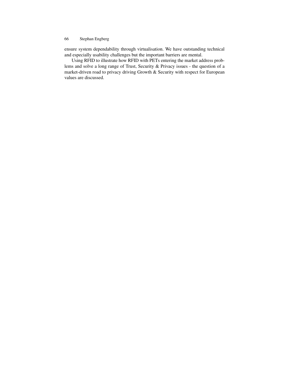ensure system dependability through virtualisation. We have outstanding technical and especially usability challenges but the important barriers are mental.

Using RFID to illustrate how RFID with PETs entering the market address problems and solve a long range of Trust, Security & Privacy issues - the question of a market-driven road to privacy driving Growth & Security with respect for European values are discussed.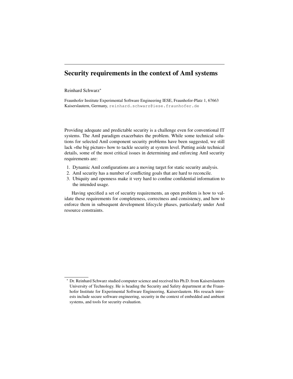# Security requirements in the context of AmI systems

### Reinhard Schwarz<sup>∗</sup>

Fraunhofer Institute Experimental Software Engineering IESE, Fraunhofer-Platz 1, 67663 Kaiserslautern, Germany, reinhard.schwarz@iese.fraunhofer.de

Providing adequate and predictable security is a challenge even for conventional IT systems. The AmI paradigm exacerbates the problem. While some technical solutions for selected AmI component security problems have been suggested, we still lack »the big picture« how to tackle security at system level. Putting aside technical details, some of the most critical issues in determining and enforcing AmI security requirements are:

- 1. Dynamic AmI configurations are a moving target for static security analysis.
- 2. AmI security has a number of conflicting goals that are hard to reconcile.
- 3. Ubiquity and openness make it very hard to confine confidential information to the intended usage.

Having specified a set of security requirements, an open problem is how to validate these requirements for completeness, correctness and consistency, and how to enforce them in subsequent development lifecycle phases, particularly under AmI resource constraints.

Dr. Reinhard Schwarz studied computer science and received his Ph.D. from Kaiserslautern University of Technology. He is heading the Security and Safety department at the Fraunhofer Institute for Experimental Software Engineering, Kaiserslautern. His reseach interests include secure software engineering, security in the context of embedded and ambient systems, and tools for security evaluation.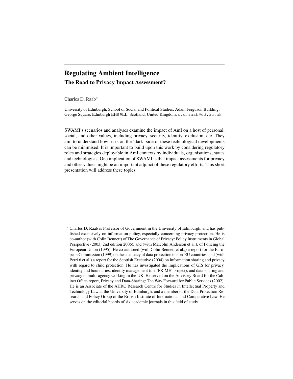# Regulating Ambient Intelligence The Road to Privacy Impact Assessment?

Charles D. Raab<sup>∗</sup>

University of Edinburgh, School of Social and Political Studies. Adam Ferguson Building, George Square, Edinburgh EH8 9LL, Scotland, United Kingdom, c.d.raab@ed.ac.uk

SWAMI's scenarios and analyses examine the impact of AmI on a host of personal, social, and other values, including privacy, security, identity, exclusion, etc. They aim to understand how risks on the 'dark' side of these technological developments can be minimised. It is important to build upon this work by considering regulatory roles and strategies deployable in AmI contexts by individuals, organisations, states and technologists. One implication of SWAMI is that impact assessments for privacy and other values might be an important adjunct of these regulatory efforts. This short presentation will address these topics.

<sup>∗</sup> Charles D. Raab is Professor of Government in the University of Edinburgh, and has published extensively on information policy, especially concerning privacy protection. He is co-author (with Colin Bennett) of The Governance of Privacy: Policy Instruments in Global Perspective (2003; 2nd edition 2006), and (with Malcolm Anderson et al.), of Policing the European Union (1995). He co-authored (with Colin Bennett et al.,) a report for the European Commission (1999) on the adequacy of data protection in non-EU countries, and (with Perri 6 et al.) a report for the Scottish Executive (2004) on information sharing and privacy with regard to child protection. He has investigated the implications of GIS for privacy, identity and boundaries; identity management (the 'PRIME' project); and data-sharing and privacy in multi-agency working in the UK. He served on the Advisory Board for the Cabinet Office report, Privacy and Data-Sharing: The Way Forward for Public Services (2002). He is an Associate of the AHRC Research Centre for Studies in Intellectual Property and Technology Law at the University of Edinburgh, and a member of the Data Protection Research and Policy Group of the British Institute of International and Comparative Law. He serves on the editorial boards of six academic journals in this field of study.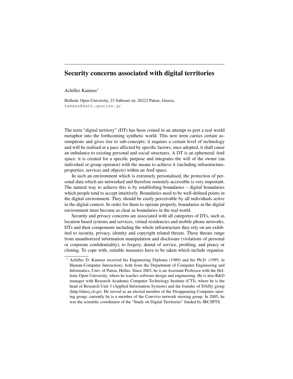# Security concerns associated with digital territories

### Achilles Kameas<sup>∗</sup>

Hellenic Open University, 23 Sahtouri str, 26222 Patras, Greece, kameas@math.upatras.gr

The term "digital territory" (DT) has been coined in an attempt to port a real world metaphor into the forthcoming synthetic world. This new term carries certain assumptions and gives rise to sub-concepts; it requires a certain level of technology and will be realised at a pace affected by specific factors; once adopted, it shall cause an imbalance to existing personal and social structures. A DT is an ephemeral AmI space: it is created for a specific purpose and integrates the will of the owner (an individual or group operator) with the means to achieve it (including infrastructure, properties, services and objects) within an AmI space.

In such an environment which is extremely personalised, the protection of personal data which are networked and therefore remotely accessible is very important. The natural way to achieve this is by establishing boundaries – digital boundaries which people tend to accept intuitively. Boundaries need to be well-defined points in the digital environment. They should be easily perceivable by all individuals active in the digital context. In order for them to operate properly, boundaries in the digital environment must become as clear as boundaries in the real world.

Security and privacy concerns are associated with all categories of DTs, such as location based systems and services, virtual residencies and mobile phone networks. DTs and their components including the whole infrastructure they rely on are exhibited to security, privacy, identity and copyright related threats. These threats range from unauthorized information manipulation and disclosure (violations of personal or corporate confidentiality), to forgery, denial of service, profiling, and piracy or cloning. To cope with, suitable measures have to be taken which include organiza-

<sup>∗</sup> Achilles D. Kameas received his Engineering Diploma (1989) and his Ph.D. (1995, in Human-Computer Interaction), both from the Department of Computer Engineering and Informatics, Univ. of Patras, Hellas. Since 2003, he is an Assistant Professor with the Hellenic Open University, where he teaches software design and engineering. He is also R&D manager with Research Academic Computer Technology Institute (CTI), where he is the head of Research Unit 3 (Applied Information Systems) and the founder of DAISy group (http://daisy.cti.gr). He served as an elected member of the Disappearing Computer steering group; currently he is a member of the Convivio network steering group. In 2005, he was the scientific coordinator of the "Study on Digital Territories" funded by JRC/IPTS.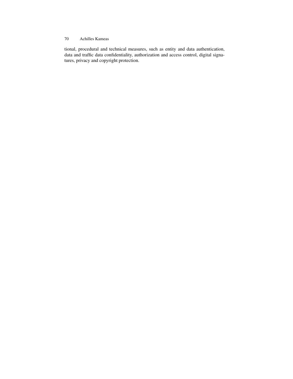### 70 Achilles Kameas

tional, procedural and technical measures, such as entity and data authentication, data and traffic data confidentiality, authorization and access control, digital signatures, privacy and copyright protection.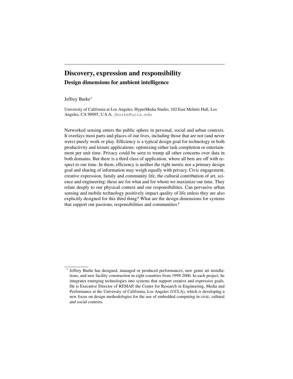# Discovery, expression and responsibility Design dimensions for ambient intelligence

### Jeffrey Burke<sup>∗</sup>

University of California at Los Angeles, HyperMedia Studio, 102 East Melnitz Hall, Los Angeles, CA 90095, U.S.A, jburke@ucla.edu

Networked sensing enters the public sphere in personal, social and urban contexts. It overlays most parts and places of our lives, including those that are not (and never were) purely work or play. Efficiency is a typical design goal for technology in both productivity and leisure applications: optimizing either task completion or entertainment per unit time. Privacy could be seen to trump all other concerns over data in both domains. But there is a third class of application, where all bets are off with respect to our time. In them, efficiency is neither the right metric nor a primary design goal and sharing of information may weigh equally with privacy. Civic engagement, creative expression, family and community life, the cultural contribution of art, science and engineering: these are for what and for whom we maximize our time. They relate deeply to our physical context and our responsibilities. Can pervasive urban sensing and mobile technology positively impact quality of life unless they are also explicitly designed for this third thing? What are the design dimensions for systems that support our passions, responsibilities and communities?

<sup>∗</sup> Jeffrey Burke has designed, managed or produced performances, new genre art installations, and new facility construction in eight countries from 1999-2006. In each project, he integrates emerging technologies into systems that support creative and expressive goals. He is Executive Director of REMAP, the Center for Research in Engineering, Media and Performance at the University of California, Los Angeles (UCLA), which is developing a new focus on design methodologies for the use of embedded computing in civic, cultural and social contexts.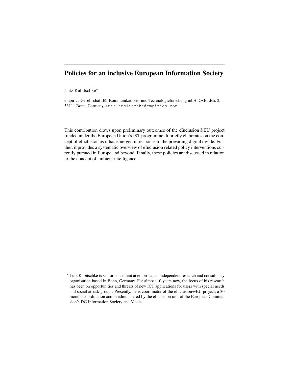# Policies for an inclusive European Information Society

### Lutz Kubitschke<sup>∗</sup>

empirica Gesellschaft für Kommunikations- und Technologieforschung mbH, Oxfordstr. 2, 53111 Bonn, Germany, Lutz.Kubitschke@empirica.com

This contribution draws upon preliminary outcomes of the eInclusion@EU project funded under the European Union's IST programme. It briefly elaborates on the concept of eInclusion as it has emerged in response to the prevailing digital divide. Further, it provides a systematic overview of eInclusion related policy interventions currently pursued in Europe and beyond. Finally, these policies are discussed in relation to the concept of ambient intelligence.

<sup>∗</sup> Lutz Kubitschke is senior consultant at empirica, an independent research and consultancy organisation based in Bonn, Germany. For almost 10 years now, the focus of his research has been on opportunities and threats of new ICT applications for users with special needs and social at-risk groups. Presently, he is coordinator of the eInclusion@EU project, a 30 months coordination action administered by the eInclusion unit of the European Commission's DG Information Society and Media.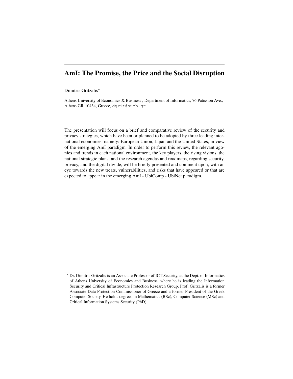## AmI: The Promise, the Price and the Social Disruption

#### Dimitris Gritzalis<sup>∗</sup>

Athens University of Economics & Business , Department of Informatics, 76 Patission Ave., Athens GR-10434, Greece, dgrit@aueb.gr

The presentation will focus on a brief and comparative review of the security and privacy strategies, which have been or planned to be adopted by three leading international economies, namely: European Union, Japan and the United States, in view of the emerging AmI paradigm. In order to perform this review, the relevant agonies and trends in each national environment, the key players, the rising visions, the national strategic plans, and the research agendas and roadmaps, regarding security, privacy, and the digital divide, will be briefly presented and comment upon, with an eye towards the new treats, vulnerabilities, and risks that have appeared or that are expected to appear in the emerging AmI - UbiComp - UbiNet paradigm.

<sup>∗</sup> Dr. Dimitris Gritzalis is an Associate Professor of ICT Security, at the Dept. of Informatics of Athens University of Economics and Business, where he is leading the Information Security and Critical Infrastructure Protection Research Group. Prof. Gritzalis is a former Associate Data Protection Commissioner of Greece and a former President of the Greek Computer Society. He holds degrees in Mathematics (BSc), Computer Science (MSc) and Critical Information Systems Security (PhD).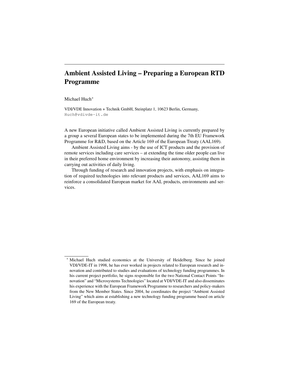# Ambient Assisted Living – Preparing a European RTD Programme

#### Michael Huch<sup>∗</sup>

VDI/VDE Innovation + Technik GmbH, Steinplatz 1, 10623 Berlin, Germany, Huch@vdivde-it.de

A new European initiative called Ambient Assisted Living is currently prepared by a group a several European states to be implemented during the 7th EU Framework Programme for R&D, based on the Article 169 of the European Treaty (AAL169).

Ambient Assisted Living aims - by the use of ICT products and the provision of remote services including care services – at extending the time older people can live in their preferred home environment by increasing their autonomy, assisting them in carrying out activities of daily living.

Through funding of research and innovation projects, with emphasis on integration of required technologies into relevant products and services, AAL169 aims to reinforce a consolidated European market for AAL products, environments and services.

Michael Huch studied economics at the University of Heidelberg. Since he joined VDI/VDE-IT in 1998, he has ever worked in projects related to European research and innovation and contributed to studies and evaluations of technology funding programmes. In his current project portfolio, he signs responsible for the two National Contact Points "Innovation" and "Microsystems Technologies" located at VDI/VDE-IT and also disseminates his experience with the European Framework Programme to researchers and policy-makers from the New Member States. Since 2004, he coordinates the project "Ambient Assisted Living" which aims at establishing a new technology funding programme based on article 169 of the European treaty.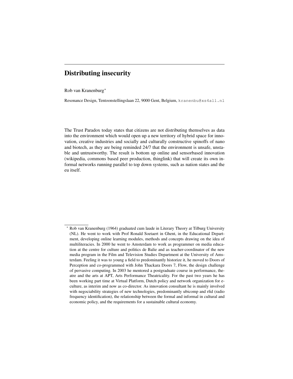## Distributing insecurity

Rob van Kranenburg<sup>∗</sup>

Resonance Design, Tentoonstellingslaan 22, 9000 Gent, Belgium, kranenbu@xs4all.nl

The Trust Paradox today states that citizens are not distributing themselves as data into the environment which would open up a new territory of hybrid space for innovation, creative industries and socially and culturally constructive spinoffs of nano and biotech, as they are being reminded 24/7 that the environment is unsafe, unstable and untrustworthy. The result is bottom up online and sensorbased innovation (wikipedia, commons based peer production, thinglink) that will create its own informal networks running parallel to top down systems, such as nation states and the eu itself.

<sup>∗</sup> Rob van Kranenburg (1964) graduated cum laude in Literary Theory at Tilburg University (NL). He went to work with Prof Ronald Soetaert in Ghent, in the Educational Department, developing online learning modules, methods and concepts drawing on the idea of multiliteracies. In 2000 he went to Amsterdam to work as programmer on media education at the centre for culture and politics de Balie and as teacher-coordinator of the new media program in the Film and Television Studies Department at the University of Amsterdam. Feeling it was to young a field to predominantly historize it, he moved to Doors of Perception and co-programmed with John Thackara Doors 7, Flow, the design challenge of pervasive computing. In 2003 he mentored a postgraduate course in performance, theatre and the arts at APT, Arts Performance Theatricality. For the past two years he has been working part time at Virtual Platform, Dutch policy and network organization for eculture, as interim and now as co-director. As innovation consultant he is mainly involved with negociability strategies of new technologies, predominantly ubicomp and rfid (radio frequency identification), the relationship between the formal and informal in cultural and economic policy, and the requirements for a sustainable cultural economy.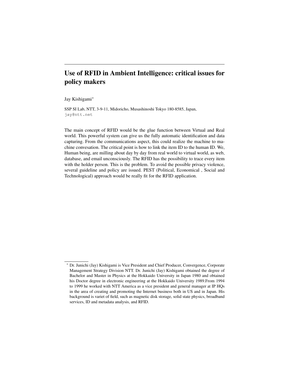# Use of RFID in Ambient Intelligence: critical issues for policy makers

Jay Kishigami<sup>∗</sup>

SSP SI Lab, NTT, 3-9-11, Midoricho, Musashinoshi Tokyo 180-8585, Japan, jay@ntt.net

The main concept of RFID would be the glue function between Virtual and Real world. This powerful system can give us the fully automatic identification and data capturing. From the communications aspect, this could realize the machine to machine convesation. The critical point is how to link the item ID to the human ID. We, Human being, are milling about day by day from real world to virtual world, as web, database, and email unconsciously. The RFID has the possibility to trace every item with the holder person. This is the problem. To avoid the possible privacy violence, several guideline and policy are issued. PEST (Political, Economical , Social and Technological) approach would be really fit for the RFID application.

<sup>∗</sup> Dr. Junichi (Jay) Kishigami is Vice President and Chief Producer, Convergence, Corporate Management Strategy Division NTT. Dr. Junichi (Jay) Kishigami obtained the degree of Bachelor and Master in Physics at the Hokkaido University in Japan 1980 and obtained his Doctor degree in electronic engineering at the Hokkaido University 1989.From 1994 to 1999 he worked with NTT America as a vice president and general manager at IP HQs in the area of creating and promoting the Internet business both in US and in Japan. His background is variet of field, such as magnetic disk storage, solid state physics, broadband services, ID and metadata analysis, and RFID.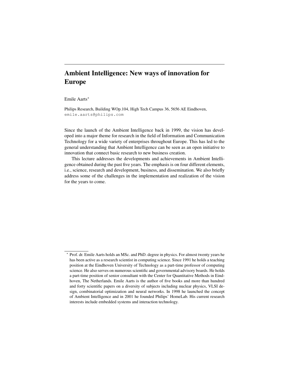# Ambient Intelligence: New ways of innovation for Europe

Emile Aarts<sup>∗</sup>

Philips Research, Building WOp.104, High Tech Campus 36, 5656 AE Eindhoven, emile.aarts@philips.com

Since the launch of the Ambient Intelligence back in 1999, the vision has developed into a major theme for research in the field of Information and Communication Technology for a wide variety of enterprises throughout Europe. This has led to the general understanding that Ambient Intelligence can be seen as an open initiative to innovation that connect basic research to new business creation.

This lecture addresses the developments and achievements in Ambient Intelligence obtained during the past five years. The emphasis is on four different elements, i.e., science, research and development, business, and dissemination. We also briefly address some of the challenges in the implementation and realization of the vision for the years to come.

<sup>∗</sup> Prof. dr. Emile Aarts holds an MSc. and PhD. degree in physics. For almost twenty years he has been active as a research scientist in computing science. Since 1991 he holds a teaching position at the Eindhoven University of Technology as a part-time professor of computing science. He also serves on numerous scientific and governmental advisory boards. He holds a part-time position of senior consultant with the Center for Quantitative Methods in Eindhoven, The Netherlands. Emile Aarts is the author of five books and more than hundred and forty scientific papers on a diversity of subjects including nuclear physics, VLSI design, combinatorial optimization and neural networks. In 1998 he launched the concept of Ambient Intelligence and in 2001 he founded Philips' HomeLab. His current research interests include embedded systems and interaction technology.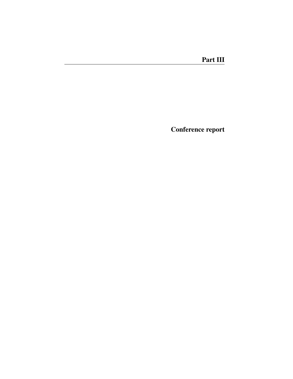Conference report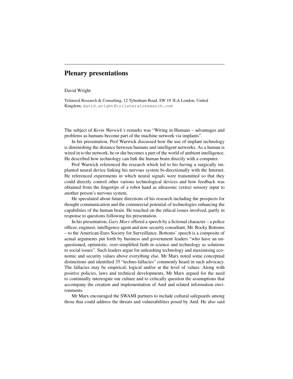## Plenary presentations

#### David Wright

Trilateral Research & Consulting, 12 Tybenham Road, SW 19 3LA London, United Kingdom, david.wright@trilateralresearch.com

The subject of *Kevin Warwick's* remarks was "Wiring in Humans – advantages and problems as humans become part of the machine network via implants".

In his presentation, Prof Warwick discussed how the use of implant technology is diminishing the distance between humans and intelligent networks. As a human is wired in to the network, he or she becomes a part of the world of ambient intelligence. He described how technology can link the human brain directly with a computer.

Prof Warwick referenced the research which led to his having a surgically implanted neural device linking his nervous system bi-directionally with the Internet. He referenced experiments in which neural signals were transmitted so that they could directly control other various technological devices and how feedback was obtained from the fingertips of a robot hand as ultrasonic (extra) sensory input to another person's nervous system.

He speculated about future directions of his research including the prospects for thought communication and the commercial potential of technologies enhancing the capabilities of the human brain. He touched on the ethical issues involved, partly in response to questions following his presentation.

In his presentation, *Gary Marx* offered a speech by a fictional character – a police officer, engineer, intelligence agent and now security consultant, Mr. Rocky Bottoms – to the American-Euro Society for Surveillance. Bottoms' speech is a composite of actual arguments put forth by business and government leaders "who have an unquestioned, optimistic, over-simplified faith in science and technology as solutions to social issues". Such leaders argue for unleashing technology and maximising economic and security values above everything else. Mr Marx noted some conceptual distinctions and identified 35 "techno-fallacies" commonly heard in such advocacy. The fallacies may be empirical, logical and/or at the level of values. Along with positive policies, laws and technical developments, Mr Marx argued for the need to continually interrogate our culture and to critically question the assumptions that accompany the creation and implementation of AmI and related information environments.

Mr Marx encouraged the SWAMI partners to include cultural safeguards among those that could address the threats and vulnerabilities posed by AmI. He also said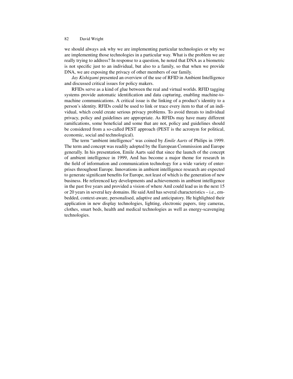we should always ask why we are implementing particular technologies or why we are implementing those technologies in a particular way. What is the problem we are really trying to address? In response to a question, he noted that DNA as a biometric is not specific just to an individual, but also to a family, so that when we provide DNA, we are exposing the privacy of other members of our family.

*Jay Kishigami* presented an overview of the use of RFID in Ambient Intelligence and discussed critical issues for policy makers.

RFIDs serve as a kind of glue between the real and virtual worlds. RFID tagging systems provide automatic identification and data capturing, enabling machine-tomachine communications. A critical issue is the linking of a product's identity to a person's identity. RFIDs could be used to link or trace every item to that of an individual, which could create serious privacy problems. To avoid threats to individual privacy, policy and guidelines are appropriate. As RFIDs may have many different ramifications, some beneficial and some that are not, policy and guidelines should be considered from a so-called PEST approach (PEST is the acronym for political, economic, social and technological).

The term "ambient intelligence" was coined by *Emile Aarts* of Philips in 1999. The term and concept was readily adopted by the European Commission and Europe generally. In his presentation, Emile Aarts said that since the launch of the concept of ambient intelligence in 1999, AmI has become a major theme for research in the field of information and communication technology for a wide variety of enterprises throughout Europe. Innovations in ambient intelligence research are expected to generate significant benefits for Europe, not least of which is the generation of new business. He referenced key developments and achievements in ambient intelligence in the past five years and provided a vision of where AmI could lead us in the next 15 or 20 years in several key domains. He said AmI has several characteristics – i.e., embedded, context-aware, personalised, adaptive and anticipatory. He highlighted their application in new display technologies, lighting, electronic papers, tiny cameras, clothes, smart beds, health and medical technologies as well as energy-scavenging technologies.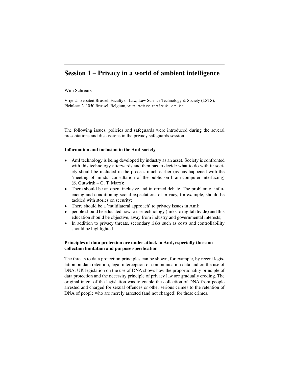# Session 1 – Privacy in a world of ambient intelligence

#### Wim Schreurs

Vrije Universiteit Brussel, Faculty of Law, Law Science Technology & Society (LSTS), Pleinlaan 2, 1050 Brussel, Belgium, wim.schreurs@vub.ac.be

The following issues, policies and safeguards were introduced during the several presentations and discussions in the privacy safeguards session.

#### Information and inclusion in the AmI society

- AmI technology is being developed by industry as an asset. Society is confronted with this technology afterwards and then has to decide what to do with it: society should be included in the process much earlier (as has happened with the 'meeting of minds' consultation of the public on brain-computer interfacing)  $(S. Gutwirth - G. T. Marx);$
- There should be an open, inclusive and informed debate. The problem of influencing and conditioning social expectations of privacy, for example, should be tackled with stories on security;
- There should be a 'multilateral approach' to privacy issues in AmI;
- people should be educated how to use technology (links to digital divide) and this education should be objective, away from industry and governmental interests;
- In addition to privacy threats, secondary risks such as costs and controllability should be highlighted.

#### Principles of data protection are under attack in AmI, especially those on collection limitation and purpose specification

The threats to data protection principles can be shown, for example, by recent legislation on data retention, legal interception of communication data and on the use of DNA. UK legislation on the use of DNA shows how the proportionality principle of data protection and the necessity principle of privacy law are gradually eroding. The original intent of the legislation was to enable the collection of DNA from people arrested and charged for sexual offences or other serious crimes to the retention of DNA of people who are merely arrested (and not charged) for these crimes.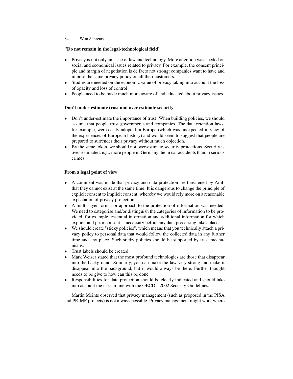## "Do not remain in the legal-technological field"

- Privacy is not only an issue of law and technology. More attention was needed on social and economical issues related to privacy. For example, the consent principle and margin of negotiation is de facto not strong: companies want to have and impose the same privacy policy on all their customers.
- Studies are needed on the economic value of privacy taking into account the loss of opacity and loss of control.
- People need to be made much more aware of and educated about privacy issues.

#### Don't under-estimate trust and over-estimate security

- Don't under-estimate the importance of trust! When building policies, we should assume that people trust governments and companies. The data retention laws, for example, were easily adopted in Europe (which was unexpected in view of the experiences of European history) and would seem to suggest that people are prepared to surrender their privacy without much objection.
- By the same token, we should not over-estimate security protections. Security is over-estimated, e.g., more people in Germany die in car accidents than in serious crimes.

### From a legal point of view

- A comment was made that privacy and data protection are threatened by AmI, that they cannot exist at the same time. It is dangerous to change the principle of explicit consent to implicit consent, whereby we would rely more on a reasonable expectation of privacy protection.
- A multi-layer format or approach to the protection of information was needed. We need to categorise and/or distinguish the categories of information to be provided, for example, essential information and additional information for which explicit and prior consent is necessary before any data processing takes place.
- We should create "sticky policies", which means that you technically attach a privacy policy to personal data that would follow the collected data in any further time and any place. Such sticky policies should be supported by trust mechanisms.
- Trust labels should be created.
- Mark Weiser stated that the most profound technologies are those that disappear into the background. Similarly, you can make the law very strong and make it disappear into the background, but it would always be there. Further thought needs to be give to how can this be done.
- Responsibilities for data protection should be clearly indicated and should take into account the user in line with the OECD's 2002 Security Guidelines.

Martin Meints observed that privacy management (such as proposed in the PISA and PRIME projects) is not always possible. Privacy management might work where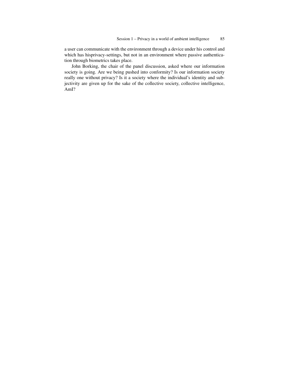a user can communicate with the environment through a device under his control and which has hisprivacy-settings, but not in an environment where passive authentication through biometrics takes place.

John Borking, the chair of the panel discussion, asked where our information society is going. Are we being pushed into conformity? Is our information society really one without privacy? Is it a society where the individual's identity and subjectivity are given up for the sake of the collective society, collective intelligence, AmI?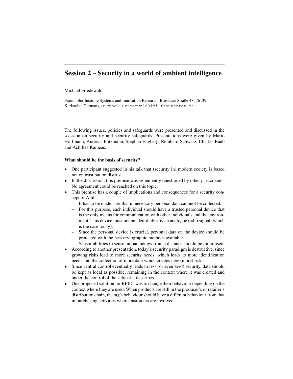# Session 2 – Security in a world of ambient intelligence

#### Michael Friedewald

Fraunhofer Institute Systems and Innovation Research, Breslauer Straße 48, 76139 Karlsruhe, Germany, Michael.Friedewald@isi.fraunhofer.de

The following issues, policies and safeguards were presented and discussed in the seession on security and security safeguards. Presentations were given by Mario Hoffmann, Andreas Pfitzmann, Stephan Engberg, Reinhard Schwarz, Charles Raab and Achilles Kameas.

#### What should be the basis of security?

- One participant suggested in his talk that (security in) modern society is based not on trust but on distrust
- In the discussion, this premise was vehemently questioned by other participants. No agreement could be reached on this topic.
- This premise has a couple of implications and consequences for a security concept of AmI:
	- It has to be made sure that unnecessary personal data cannnot be collected.
	- For this purpose, each individual should have a trusted personal device that is the only means for communication with other individuals and the environment. This device must not be identifiable by an analogue radio signal (which is the case today).
	- Since the personal device is crucial, personal data on the device should be protected with the best crytographic methods available.
	- Sensor abilities to sense human beings from a distance should be minimised.
- According to another presentation, today's security paradigm is destructive, since growing risks lead to more security needs, which leads to more identification needs and the collection of more data which creates new (more) risks.
- Since central control eventually leads to less (or even zero) security, data should be kept as local as possible, remaining in the context where it was created and under the control of the subject it describes.
- One proposed solution for RFIDs was to change their behaviour depending on the context where they are used. When products are still in the producer's or retailer's distribution chain, the tag's behaviour should have a different behaviour from that in purchasing activities where customers are involved.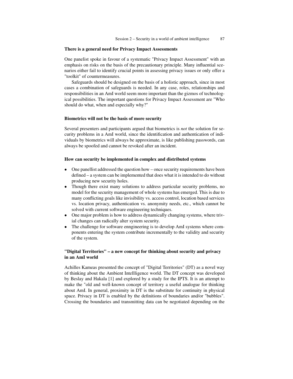#### There is a general need for Privacy Impact Assessments

One panelist spoke in favour of a systematic "Privacy Impact Assessment" with an emphasis on risks on the basis of the precautionary principle. Many influential scenarios either fail to identify crucial points in assessing privacy issues or only offer a "toolkit" of countermeasures.

Safeguards should be designed on the basis of a holistic approach, since in most cases a combination of safeguards is needed. In any case, roles, relationships and responsibilities in an AmI world seem more important than the gizmos of technological possibilities. The important questions for Privacy Impact Assessment are "Who should do what, when and especially why?"

#### Biometrics will not be the basis of more security

Several presenters and participants argued that biometrics is *not* the solution for security problems in a AmI world, since the identification and authentication of individuals by biometrics will always be approximate, is like publishing passwords, can always be spoofed and cannot be revoked after an incident.

#### How can security be implemented in complex and distributed systems

- One panellist addressed the question how once security requirements have been defined – a system can be implemented that does what it is intended to do without producing new security holes.
- Though there exist many solutions to address particular security problems, no model for the security management of whole systems has emerged. This is due to many conflicting goals like invisibility vs. access control, location based services vs. location privacy, authentication vs. anonymity needs, etc., which cannot be solved with current software engineering techniques.
- One major problem is how to address dynamically changing systems, where trivial changes can radically alter system security.
- The challenge for software enngineering is to develop AmI systems where components entering the system contribute incrementally to the validity and security of the system.

### "Digital Territories" – a new concept for thinking about security and privacy in an AmI world

Achilles Kameas presented the concept of "Digital Territories" (DT) as a novel way of thinking about the Ambient Intellligence world. The DT concept was developed by Beslay and Hakala [1] and explored by a study for the IPTS. It is an attempt to make the "old and well-known concept of territory a useful analogue for thinking about AmI. In general, proximity in DT is the substitute for continuity in physical space. Privacy in DT is enabled by the definitions of boundaries and/or "bubbles". Crossing the boundaries and transmitting data can be negotiated depending on the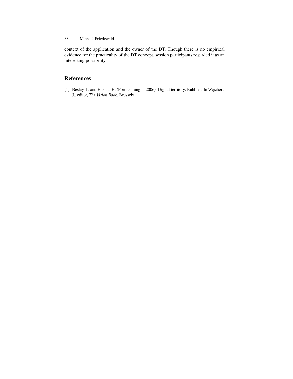context of the application and the owner of the DT. Though there is no empirical evidence for the practicality of the DT concept, session participants regarded it as an interesting possibility.

## References

[1] Beslay, L. and Hakala, H. (Forthcoming in 2006). Digital territory: Bubbles. In Wejchert, J., editor, *The Vision Book*. Brussels.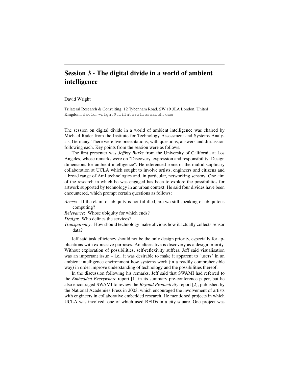# Session 3 - The digital divide in a world of ambient intelligence

#### David Wright

Trilateral Research & Consulting, 12 Tybenham Road, SW 19 3LA London, United Kingdom, david.wright@trilateralresearch.com

The session on digital divide in a world of ambient intelligence was chaired by Michael Rader from the Institute for Technology Assessment and Systems Analysis, Germany. There were five presentations, with questions, answers and discussion following each. Key points from the session were as follows.

The first presenter was *Jeffrey Burke* from the University of California at Los Angeles, whose remarks were on "Discovery, expression and responsibility: Design dimensions for ambient intelligence". He referenced some of the multidisciplinary collaboration at UCLA which sought to involve artists, engineers and citizens and a broad range of AmI technologies and, in particular, networking sensors. One aim of the research in which he was engaged has been to explore the possibilities for artwork supported by technology in an urban context. He said four divides have been encountered, which prompt certain questions as follows:

*Access*: If the claim of ubiquity is not fulfilled, are we still speaking of ubiquitous computing?

*Relevance*: Whose ubiquity for which ends?

*Design*: Who defines the services?

*Transparency*: How should technology make obvious how it actually collects sensor data?

Jeff said task efficiency should not be the only design priority, especially for applications with expressive purposes. An alternative is discovery as a design priority. Without exploration of possibilities, self-reflexivity suffers. Jeff said visualisation was an important issue  $-$  i.e., it was desirable to make it apparent to "users" in an ambient intelligence environment how systems work (in a readily comprehensible way) in order improve understanding of technology and the possibilities thereof.

In the discussion following his remarks, Jeff said that SWAMI had referred to the *Embedded Everywhere* report [1] in its summary pre-conference paper, but he also encouraged SWAMI to review the *Beyond Productivity* report [2], published by the National Academies Press in 2003, which encouraged the involvement of artists with engineers in collaborative embedded research. He mentioned projects in which UCLA was involved, one of which used RFIDs in a city square. One project was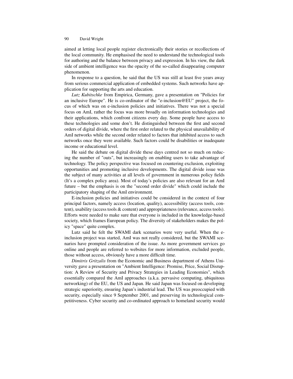aimed at letting local people register electronically their stories or recollections of the local community. He emphasised the need to understand the technological tools for authoring and the balance between privacy and expression. In his view, the dark side of ambient intelligence was the opacity of the so-called disappearing computer phenomenon.

In response to a question, he said that the US was still at least five years away from serious commercial application of embedded systems. Such networks have application for supporting the arts and education.

*Lutz Kubitschke* from Empirica, Germany, gave a presentation on "Policies for an inclusive Europe". He is co-ordinator of the "e-inclusion@EU" project, the focus of which was on e-inclusion policies and initiatives. There was not a special focus on AmI, rather the focus was more broadly on information technologies and their applications, which confront citizens every day. Some people have access to these technologies and some don't. He distinguished between the first and second orders of digital divide, where the first order related to the physical unavailability of AmI networks while the second order related to factors that inhibited access to such networks once they were available. Such factors could be disabilities or inadequate income or educational level.

He said the debate on digital divide these days centred not so much on reducing the number of "outs", but increasingly on enabling users to take advantage of technology. The policy perspective was focused on countering exclusion, exploiting opportunities and promoting inclusive developments. The digital divide issue was the subject of many activities at all levels of government in numerous policy fields (It's a complex policy area). Most of today's policies are also relevant for an AmI future – but the emphasis is on the "second order divide" which could include the participatory shaping of the AmI environment.

E-inclusion policies and initiatives could be considered in the context of four principal factors, namely access (location, quality), accessibility (access tools, content), usability (access tools & content) and appropriateness (relevance, access tools). Efforts were needed to make sure that everyone is included in the knowledge-based society, which frames European policy. The diversity of stakeholders makes the policy "space" quite complex.

Lutz said he felt the SWAMI dark scenarios were very useful. When the einclusion project was started, AmI was not really considered, but the SWAMI scenarios have prompted consideration of the issue. As more government services go online and people are referred to websites for more information, excluded people, those without access, obviously have a more difficult time.

*Dimitris Gritzalis* from the Economic and Business department of Athens University gave a presentation on "Ambient Intelligence: Promise, Price, Social Disruption: A Review of Security and Privacy Strategies in Leading Economies", which essentially compared the AmI approaches (a.k.a. pervasive computing, ubiquitous networking) of the EU, the US and Japan. He said Japan was focused on developing strategic superiority, ensuring Japan's industrial lead. The US was preoccupied with security, especially since 9 September 2001, and preserving its technological competitiveness. Cyber security and co-ordinated approach to homeland security would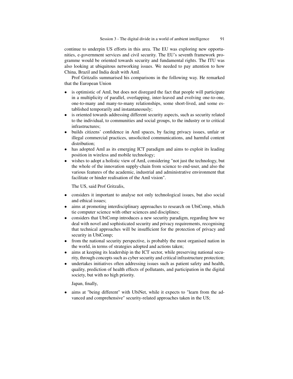continue to underpin US efforts in this area. The EU was exploring new opportunities, e-government services and civil security. The EU's seventh framework programme would be oriented towards security and fundamental rights. The ITU was also looking at ubiquitous networking issues. We needed to pay attention to how China, Brazil and India dealt with AmI.

Prof Gritzalis summarised his comparisons in the following way. He remarked that the European Union

- is optimistic of AmI, but does not disregard the fact that people will participate in a multiplicity of parallel, overlapping, inter-leaved and evolving one-to-one, one-to-many and many-to-many relationships, some short-lived, and some established temporarily and instantaneously;
- is oriented towards addressing different security aspects, such as security related to the individual, to communities and social groups, to the industry or to critical infrastructures;
- builds citizens' confidence in AmI spaces, by facing privacy issues, unfair or illegal commercial practices, unsolicited communications, and harmful content distribution;
- has adopted AmI as its emerging ICT paradigm and aims to exploit its leading position in wireless and mobile technology;
- wishes to adopt a holistic view of AmI, considering "not just the technology, but the whole of the innovation supply-chain from science to end-user, and also the various features of the academic, industrial and administrative environment that facilitate or hinder realisation of the AmI vision".

The US, said Prof Gritzalis,

- considers it important to analyse not only technological issues, but also social and ethical issues;
- aims at promoting interdisciplinary approaches to research on UbiComp, which tie computer science with other sciences and disciplines;
- considers that UbiComp introduces a new security paradigm, regarding how we deal with novel and sophisticated security and privacy requirements, recognising that technical approaches will be insufficient for the protection of privacy and security in UbiComp;
- from the national security perspective, is probably the most organised nation in the world, in terms of strategies adopted and actions taken;
- aims at keeping its leadership in the ICT sector, while preserving national security, through concepts such as cyber security and critical infrastructure protection;
- undertakes initiatives often addressing issues such as patient safety and health, quality, prediction of health effects of pollutants, and participation in the digital society, but with no high priority.

Japan, finally,

• aims at "being different" with UbiNet, while it expects to "learn from the advanced and comprehensive" security-related approaches taken in the US;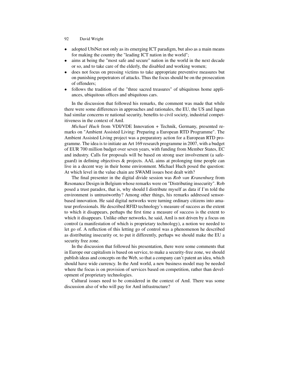- adopted UbiNet not only as its emerging ICT paradigm, but also as a main means for making the country the "leading ICT nation in the world";
- aims at being the "most safe and secure" nation in the world in the next decade or so, and to take care of the elderly, the disabled and working women;
- does not focus on pressing victims to take appropriate preventive measures but on punishing perpetrators of attacks. Thus the focus should be on the prosecution of offenders;
- follows the tradition of the "three sacred treasures" of ubiquitous home appliances, ubiquitous offices and ubiquitous cars.

In the discussion that followed his remarks, the comment was made that while there were some differences in approaches and rationales, the EU, the US and Japan had similar concerns re national security, benefits to civil society, industrial competitiveness in the context of AmI.

*Michael Huch* from VDI/VDE Innovation + Technik, Germany, presented remarks on "Ambient Assisted Living: Preparing a European RTD Programme". The Ambient Assisted Living project was a preparatory action for a European RTD programme. The idea is to initiate an Art 169 research programme in 2007, with a budget of EUR 700 million budget over seven years, with funding from Member States, EC and industry. Calls for proposals will be based on strong user involvement (a safeguard) in defining objectives & projects. AAL aims at prolonging time people can live in a decent way in their home environment. Michael Huch posed the question: At which level in the value chain are SWAMI issues best dealt with?

The final presenter in the digital divide session was *Rob van Kranenburg* from Resonance Design in Belgium whose remarks were on "Distributing insecurity". Rob posed a trust paradox, that is, why should I distribute myself as data if I'm told the environment is untrustworthy? Among other things, his remarks addressed sensorbased innovation. He said digital networks were turning ordinary citizens into amateur professionals. He described RFID technology's measure of success as the extent to which it disappears, perhaps the first time a measure of success is the extent to which it disappears. Unlike other networks, he said, AmI is not driven by a focus on control (a manifestation of which is proprietary technology), a notion we needed to let go of. A reflection of this letting go of control was a phenomenon he described as distributing insecurity or, to put it differently, perhaps we should make the EU a security free zone.

In the discussion that followed his presentation, there were some comments that in Europe our capitalism is based on service, to make a security-free zone, we should publish ideas and concepts on the Web, so that a company can't patent an idea, which should have wide currency. In the AmI world, a new business model may be needed where the focus is on provision of services based on competition, rather than development of proprietary technologies.

Cultural issues need to be considered in the context of AmI. There was some discussion also of who will pay for AmI infrastructure?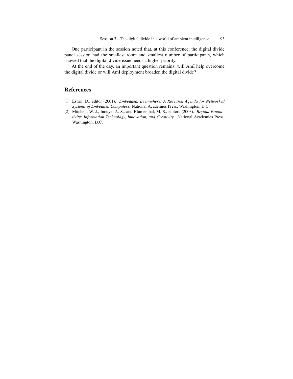One participant in the session noted that, at this conference, the digital divide panel session had the smallest room and smallest number of participants, which showed that the digital divide issue needs a higher priority.

At the end of the day, an important question remains: will AmI help overcome the digital divide or will AmI deployment broaden the digital divide?

## References

- [1] Estrin, D., editor (2001). *Embedded, Everywhere: A Research Agenda for Networked Systems of Embedded Computers*. National Academies Press, Washington, D.C.
- [2] Mitchell, W. J., Inouye, A. S., and Blumenthal, M. S., editors (2003). *Beyond Productivity: Information Technology, Innovation, and Creativity*. National Academies Press, Washington, D.C.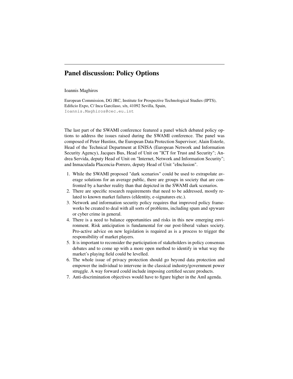# Panel discussion: Policy Options

#### Ioannis Maghiros

European Commission, DG JRC, Institute for Prospective Technological Studies (IPTS), Edificio Expo, C/ Inca Garcilaso, s/n, 41092 Sevilla, Spain, Ioannis.Maghiros@cec.eu.int

The last part of the SWAMI conference featured a panel which debated policy options to address the issues raised during the SWAMI conference. The panel was composed of Peter Hustinx, the European Data Protection Supervisor; Alain Esterle, Head of the Technical Department at ENISA (European Network and Information Security Agency), Jacques Bus, Head of Unit on "ICT for Trust and Security"; Andrea Servida, deputy Head of Unit on "Internet, Network and Information Security"; and Inmaculada Placencia-Porrero, deputy Head of Unit "eInclusion".

- 1. While the SWAMI proposed "dark scenarios" could be used to extrapolate average solutions for an average public, there are groups in society that are confronted by a harsher reality than that depicted in the SWAMI dark scenarios.
- 2. There are specific research requirements that need to be addressed, mostly related to known market failures (eIdentity, e-signatures etc.).
- 3. Network and information security policy requires that improved policy frameworks be created to deal with all sorts of problems, including spam and spyware or cyber crime in general.
- 4. There is a need to balance opportunities and risks in this new emerging environment. Risk anticipation is fundamental for our post-liberal values society. Pro-active advice on new legislation is required as is a process to trigger the responsibility of market players.
- 5. It is important to reconsider the participation of stakeholders in policy consensus debates and to come up with a more open method to identify in what way the market's playing field could be levelled.
- 6. The whole issue of privacy protection should go beyond data protection and empower the individual to intervene in the classical industry/government power struggle. A way forward could include imposing certified secure products.
- 7. Anti-discrimination objectives would have to figure higher in the AmI agenda.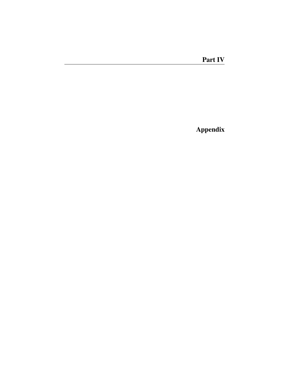Appendix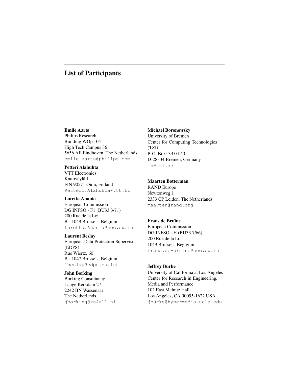## List of Participants

#### Emile Aarts

Philips Research Building WOp.104 High Tech Campus 36 5656 AE Eindhoven, The Netherlands emile.aarts@philips.com

#### Petteri Alahuhta

VTT Electronics Kaitoväylä 1 FIN 90571 Oulu, Finland Petteri.Alahuhta@vtt.fi

#### Loretta Anania

European Commission DG INFSO - F1 (BU33 3/71) 200 Rue de la Loi B - 1049 Brussels, Belgium Loretta.Anania@cec.eu.int

#### Laurent Beslay

European Data Protection Supervisor (EDPS) Rue Wiertz, 60 B - 1047 Brussels, Belgium lbeslay@edps.eu.int

#### John Borking

Borking Consultancy Lange Kerkdam 27 2242 BN Wassenaar The Netherlands jborking@xs4all.nl

#### Michael Boronowsky

University of Bremen Center for Computing Technologies (TZI) P. O. Box: 33 04 40 D-28334 Bremen, Germany mb@tzi.de

#### Maarten Botterman

RAND Europe Newtonweg 1 2333 CP Leiden, The Netherlands maarten@rand.org

#### Frans de Bruïne

European Commission DG INFSO - H (BU33 7/66) 200 Rue de la Loi 1049 Brussels, Beglgium frans.de-bruine@cec.eu.int

#### Jeffrey Burke

University of California at Los Angeles Center for Research in Engineering, Media and Performance 102 East Melnitz Hall Los Angeles, CA 90095-1622 USA jburke@hypermedia.ucla.edu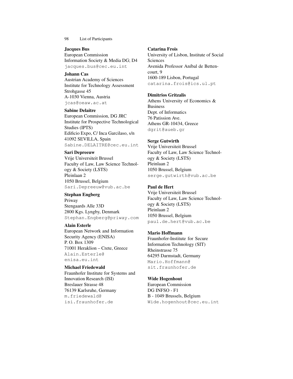#### Jacques Bus

European Commission Information Society & Media DG; D4 jacques.bus@cec.eu.int

### Johann Cas

Austrian Academy of Sciences Institute for Technology Assessment Strohgasse 45 A-1030 Vienna, Austria jcas@oeaw.ac.at

### Sabine Delaitre

European Commission, DG JRC Institute for Prospective Technological Studies (IPTS) Edificio Expo, C/ Inca Garcilaso, s/n 41092 SEVILLA, Spain Sabine.DELAITRE@cec.eu.int

### Sari Depreeuw

Vrije Universiteit Brussel Faculty of Law, Law Science Technology & Society (LSTS) Pleinlaan 2 1050 Brussel, Belgium Sari.Depreeuw@vub.ac.be

### Stephan Engberg

Priway Stengaards Alle 33D 2800 Kgs. Lyngby, Denmark Stephan.Engberg@priway.com

## Alain Esterle

European Network and Information Security Agency (ENISA) P. O. Box 1309 71001 Heraklion – Crete, Greece Alain.Esterle@ enisa.eu.int

Michael Friedewald Fraunhofer Institute for Systems and Innovation Research (ISI) Breslauer Strasse 48 76139 Karlsruhe, Germany m.friedewald@ isi.fraunhofer.de

# Catarina Frois

University of Lisbon, Institute of Social Sciences Avenida Professor Aníbal de Bettencourt, 9 1600-189 Lisbon, Portugal catarina.frois@ics.ul.pt

## Dimitrios Gritzalis

Athens University of Economics & Business Dept. of Informatics 76 Patission Ave. Athens GR-10434, Greece dgrit@aueb.gr

## Serge Gutwirth

Vrije Universiteit Brussel Faculty of Law, Law Science Technology & Society (LSTS) Pleinlaan 2 1050 Brussel, Belgium serge.gutwirth@vub.ac.be

## Paul de Hert

Vrije Universiteit Brussel Faculty of Law, Law Science Technology & Society (LSTS) Pleinlaan 2 1050 Brussel, Belgium paul.de.hert@vub.ac.be

## Mario Hoffmann

Fraunhofer-Institute for Secure Information Technology (SIT) Rheinstrasse 75 64295 Darmstadt, Germany Mario.Hoffmann@ sit.fraunhofer.de

Wide Hogenhout European Commission DG INFSO - F1 B - 1049 Brussels, Belgium Wide.hogenhout@cec.eu.int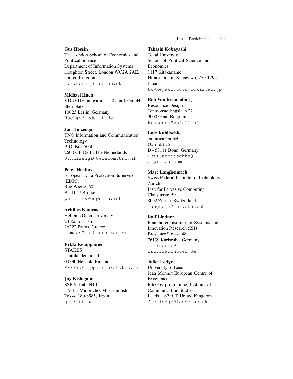#### Gus Hosein

The London School of Economics and Political Science Department of Information Systems Houghton Street, London WC2A 2AE, United Kingdom i.r.hosein@lse.ac.uk

Michael Huch VDI/VDE Innovation + Technik GmbH Steinplatz 1 10623 Berlin, Germany Huch@vdivde-it.de

#### Jan Huizenga

TNO Information and Communication Technology P. O. Box 5050 2600 GB Delft, The Netherlands J.Huizenga@telecom.tno.nl

#### Peter Hustinx

European Data Protection Supervisor (EDPS) Rue Wiertz, 60 B - 1047 Brussels phustinx@edps.eu.int

#### Achilles Kameas

Hellenic Open University 23 Sahtouri str, 26222 Patras, Greece kameas@math.upatras.gr

## Erkki Kemppainen

STAKES Lintulahdenkuja 4 00530 Helsinki Finland Erkki.Kemppainen@stakes.fi

Jay Kishigami SSP SI Lab, NTT 3-9-11, Midoricho, Musashinoshi Tokyo 180-8585, Japan jay@ntt.net

#### Takashi Kobayashi

Tokai University School of Political Science and Economics 1117 Kitakaname Hiratsuka-shi, Kanagawa, 259-1292 Japan tk@keyaki.cc.u-tokai.ac.jp

#### Rob Van Kranenburg

Resonance Design Tentoonstellingslaan 22 9000 Gent, Belgium kranenbu@xs4all.nl

#### Lutz Kubitschke

empirica GmbH Oxfordstr. 2 D - 53111 Bonn, Germany Lutz.Kubitschke@ empirica.com

#### Marc Langheinrich

Swiss Federal Institute of Technology Zurich Inst. for Pervasive Computing Clausiusstr. 59 8092 Zurich, Switzerland langhein@inf.ethz.ch

#### Ralf Lindner

Fraunhofer Institute for Systems and Innovation Research (ISI) Breslauer Strasse 48 76139 Karlsruhe, Germany r.lindner@ isi.fraunhofer.de

#### Juliet Lodge

University of Leeds Jean Monnet European Centre of Excellence R4eGov programme, Institute of Communication Studies Leeds, LS2 9JT, United Kingdom j.e.lodge@leeds.ac.uk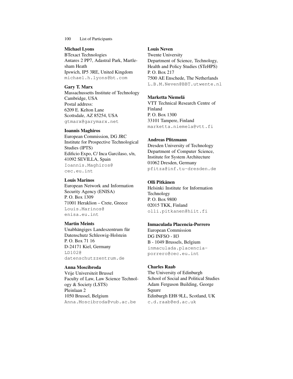Michael Lyons

BTexact Technologies Antares 2 PP7, Adastral Park, Martlesham Heath Ipswich, IP5 3RE, United Kingdom michael.h.lyons@bt.com

## Gary T. Marx

Massachussetts Institute of Technology Cambridge, USA Postal address: 6209 E. Kelton Lane Scottsdale, AZ 85254, USA gtmarx@garymarx.net

## Ioannis Maghiros

European Commission, DG JRC Institute for Prospective Technological Studies (IPTS) Edificio Expo, C/ Inca Garcilaso, s/n, 41092 SEVILLA, Spain Ioannis.Maghiros@ cec.eu.int

## Louis Marinos

European Network and Information Security Agency (ENISA) P. O. Box 1309 71001 Heraklion – Crete, Greece Louis.Marinos@ enisa.eu.int

## Martin Meints

Unabhängiges Landeszentrum für Datenschutz Schleswig-Holstein P. O. Box 71 16 D-24171 Kiel, Germany LD102@ datenschutzzentrum.de

## Anna Moscibroda

Vrije Universiteit Brussel Faculty of Law, Law Science Technology & Society (LSTS) Pleinlaan 2 1050 Brussel, Belgium Anna.Moscibroda@vub.ac.be

Louis Neven Twente University Department of Science, Technology, Health and Policy Studies (STeHPS) P. O. Box 217 7500 AE Enschede, The Netherlands L.B.M.Neven@BBT.utwente.nl

## Marketta Niemelä

VTT Technical Research Centre of Finland P. O. Box 1300 33101 Tampere, Finland marketta.niemela@vtt.fi

## Andreas Pfitzmann

Dresden University of Technology Department of Computer Science, Institute for System Architecture 01062 Dresden, Germany pfitza@inf.tu-dresden.de

## Olli Pitkänen

Helsinki Institute for Information Technology P. O. Box 9800 02015 TKK, Finland olli.pitkanen@hiit.fi

## Inmaculada Placencia-Porrero

European Commission DG INFSO - H3 B - 1049 Brussels, Belgium inmaculada.placenciaporrero@cec.eu.int

## Charles Raab

The University of Edinburgh School of Social and Political Studies Adam Ferguson Building, George Square Edinburgh EH8 9LL, Scotland, UK c.d.raab@ed.ac.uk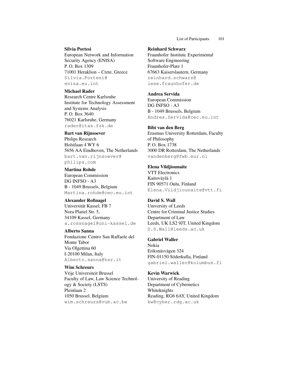#### Silvia Portesi

European Network and Information Security Agency (ENISA) P. O. Box 1309 71001 Heraklion – Crete, Greece Silvia.Portesi@ enisa.eu.int

#### Michael Rader

Research Centre Karlsruhe Institute for Technology Assessment and Systems Analysis P. O. Box 3640 76021 Karlsruhe, Germany rader@itas.fzk.de

#### Bart van Rijnsoever

Philips Research Holstlaan 4 WY 6 5656 AA Eindhoven, The Netherlands bart.van.rijnsoever@ philips.com

Martina Rohde European Commission DG INFSO - A3 B - 1049 Brussels, Belgium Martina.rohde@cec.eu.int

#### Alexander Roßnagel Universität Kassel, FB 7

Nora Platiel Str. 5, 34109 Kassel, Germany a.rossnagel@uni-kassel.de

Alberto Sanna Fondazione Centro San Raffaele del Monte Tabor Via Olgettina 60 I-20100 Milan, Italy Alberto.sanna@hsr.it

#### Wim Schreurs

Vrije Universiteit Brussel Faculty of Law, Law Science Technology & Society (LSTS) Pleinlaan 2 1050 Brussel, Belgium wim.schreurs@vub.ac.be

#### Reinhard Schwarz

Fraunhofer Institute Experimental Software Engineering Fraunhofer-Platz 1 67663 Kaiserslautern, Germany reinhard.schwarz@ iese.fraunhofer.de

### Andrea Servida

European Commission DG INFSO - A3 B - 1049 Brussels, Belgium Andrea.Servida@cec.eu.int

#### Bibi van den Berg

Erasmus University Rotterdam, Faculty of Philosophy P. O. Box 1738 3000 DR Rotterdam, The Netherlands vandenberg@fwb.eur.nl

#### Elena Vildjiounaite

VTT Electronics Kaitoväylä 1 FIN 90571 Oulu, Finland Elena.Vildjiounaite@vtt.fi

#### David S. Wall

University of Leeds Centre for Criminal Justice Studies Department of Law Leeds, UK LS2 9JT, United Kingdom D.S.Wall@leeds.ac.uk

#### Gabriel Waller

Nokia Eriksnäsvägen 324 FIN-01150 Söderkulla, Finland gabriel.waller@kolumbus.fi

#### Kevin Warwick

University of Reading Department of Cybernetics Whiteknights Reading, RG6 6AY, United Kingdom kw@cyber.rdg.ac.uk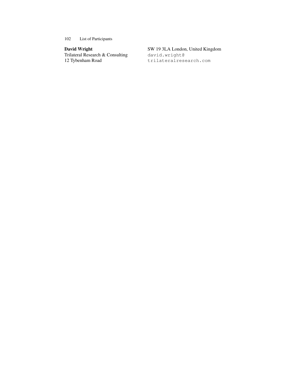## David Wright

Trilateral Research & Consulting 12 Tybenham Road

SW 19 3LA London, United Kingdom

david.wright@ trilateralresearch.com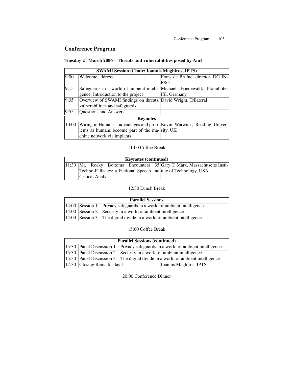# Conference Program

## Tuesday 21 March 2006 – Threats and vulnerabilities posed by AmI

|                 | <b>SWAMI Session (Chair: Ioannis Maghiros, IPTS)</b>                     |                                   |  |  |
|-----------------|--------------------------------------------------------------------------|-----------------------------------|--|--|
| $\sqrt{9:00}$   | Welcome address                                                          | Frans de Bruïne, director, DG IN- |  |  |
|                 |                                                                          | <b>FSO</b>                        |  |  |
| $\sqrt{9:15}$   | Safeguards in a world of ambient intelli- Michael Friedewald, Fraunhofer |                                   |  |  |
|                 | gence: Introduction to the project                                       | ISI, Germany                      |  |  |
| 9:35            | Overview of SWAMI findings on threats, David Wright, Trilateral          |                                   |  |  |
|                 | vulnerabilities and safeguards                                           |                                   |  |  |
| 9:55            | Questions and Answers                                                    |                                   |  |  |
| <b>Keynotes</b> |                                                                          |                                   |  |  |
| 10:00           | Wiring in Humans - advantages and prob- Kevin Warwick, Reading Univer-   |                                   |  |  |
|                 | lems as humans become part of the ma-sity, UK                            |                                   |  |  |
|                 | chine network via implants                                               |                                   |  |  |

## 11:00 Coffee Break

| <b>Keynotes (continued)</b> |  |                   |  |  |                                                                              |
|-----------------------------|--|-------------------|--|--|------------------------------------------------------------------------------|
|                             |  |                   |  |  | $ 11:30 $ Mr. Rocky Bottoms Encounters 35 Gary T. Marx, Massachusetts Insti- |
|                             |  |                   |  |  | Techno-Fallacies: a Fictional Speech and tute of Technology, USA             |
|                             |  | Critical Analysis |  |  |                                                                              |

## 12:30 Lunch Break

| <b>Parallel Sessions</b> |                                                                             |  |
|--------------------------|-----------------------------------------------------------------------------|--|
|                          | $ 14:00 $ Session 1 – Privacy safeguards in a world of ambient intelligence |  |
|                          | $ 14:00 $ Session 2 – Security in a world of ambient intelligence           |  |
|                          | $ 14:00 $ Session 3 – The digital divide in a world of ambient intelligence |  |

## 15:00 Coffee Break

| <b>Parallel Sessions (continued)</b> |                                                                                    |                        |
|--------------------------------------|------------------------------------------------------------------------------------|------------------------|
|                                      | $15:30$ Panel Discussion 1 – Privacy safeguards in a world of ambient intelligence |                        |
|                                      | 15:30 Panel Discussion $2$ – Security in a world of ambient intelligence           |                        |
|                                      | 15:30 Panel Discussion $3$ – The digital divide in a world of ambient intelligence |                        |
|                                      | $ 17:30 $ Closing Remarks day 1                                                    | Ioannis Maghiros, IPTS |

20:00 Conference Dinner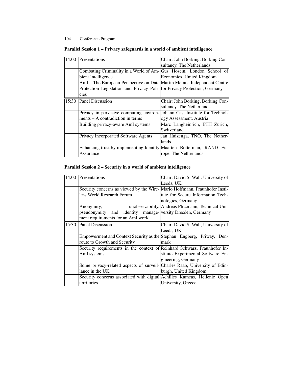| 14:00 | Presentations                                                            | Chair: John Borking, Borking Con-  |
|-------|--------------------------------------------------------------------------|------------------------------------|
|       |                                                                          | sultancy, The Netherlands          |
|       | Combating Criminality in a World of Am-Gus Hosein, London School of      |                                    |
|       | bient Intelligence                                                       | Economics, United Kingdom          |
|       | AmI - The European Perspective on Data Martin Meints, Independent Centre |                                    |
|       | Protection Legislation and Privacy Poli- for Privacy Protection, Germany |                                    |
|       | cies                                                                     |                                    |
| 15:30 | <b>Panel Discussion</b>                                                  | Chair: John Borking, Borking Con-  |
|       |                                                                          | sultancy, The Netherlands          |
|       | Privacy in pervasive computing environ-                                  | Johann Cas, Institute for Technol- |
|       | ments – A contradiction in terms                                         | ogy Assessment, Austria            |
|       | Building privacy-aware AmI systems                                       | Marc Langheinrich, ETH Zurich,     |
|       |                                                                          | Switzerland                        |
|       | Privacy Incorporated Software Agents                                     | Jan Huizenga, TNO, The Nether-     |
|       |                                                                          | lands                              |
|       | Enhancing trust by implementing Identity Maarten Botterman, RAND Eu-     |                                    |
|       | Assurance                                                                | rope, The Netherlands              |

## Parallel Session 1 – Privacy safeguards in a world of ambient intelligence

## Parallel Session 2 – Security in a world of ambient intelligence

| 14:00 | Presentations                                                              | Chair: David S. Wall, University of                |
|-------|----------------------------------------------------------------------------|----------------------------------------------------|
|       |                                                                            | Leeds, UK                                          |
|       | Security concerns as viewed by the Wire-Mario Hoffmann, Fraunhofer Insti-  |                                                    |
|       | less World Research Forum                                                  | tute for Secure Information Tech-                  |
|       |                                                                            | nologies, Germany                                  |
|       | Anonymity,                                                                 | unobservability, Andreas Pfitzmann, Technical Uni- |
|       | pseudonymity and identity manage-versity Dresden, Germany                  |                                                    |
|       | ment requirements for an AmI world                                         |                                                    |
| 15:30 | <b>Panel Discussion</b>                                                    | Chair: David S. Wall, University of                |
|       |                                                                            | Leeds, UK                                          |
|       | Empowerment and Context Security as the Stephan Engberg, Priway, Den-      |                                                    |
|       | route to Growth and Security                                               | mark                                               |
|       | Security requirements in the context of Reinhard Schwarz, Fraunhofer In-   |                                                    |
|       | AmI systems                                                                | stitute Experimental Software En-                  |
|       |                                                                            | gineering, Germany                                 |
|       | Some privacy-related aspects of surveil- Charles Raab, University of Edin- |                                                    |
|       | lance in the UK                                                            | burgh, United Kingdom                              |
|       | Security concerns associated with digital Achilles Kameas, Hellenic Open   |                                                    |
|       | territories                                                                | University, Greece                                 |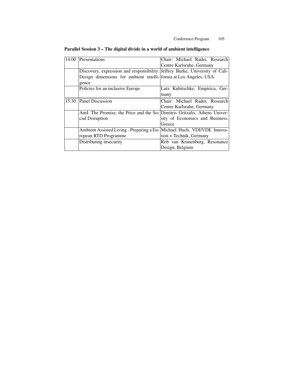| 14:00 | Presentations                                                                | Chair: Michael Rader, Research  |
|-------|------------------------------------------------------------------------------|---------------------------------|
|       |                                                                              | Centre Karlsruhe, Germany       |
|       | Discovery, expression and responsibility: Jeffrey Burke, University of Cali- |                                 |
|       | Design dimensions for ambient intelli-<br>  fornia at Los Angeles, USA       |                                 |
|       | gence                                                                        |                                 |
|       | Policies for an inclusive Europe                                             | Lutz Kubitschke, Empirica, Ger- |
|       |                                                                              | many                            |
| 15:30 | Panel Discussion                                                             | Chair: Michael Rader, Research  |
|       |                                                                              | Centre Karlsruhe, Germany       |
|       | AmI: The Promise, the Price and the So-Dimitris Gritzalis, Athens Univer-    |                                 |
|       | cial Disruption                                                              | sity of Economics and Business, |
|       |                                                                              | Greece                          |
|       | Ambient Assisted Living - Preparing a Eu- Michael Huch, VDI/VDE Innova-      |                                 |
|       | ropean RTD Programme                                                         | tion + Technik, Germany         |
|       | Distributing insecurity                                                      | Rob van Kranenburg, Resonance   |
|       |                                                                              | Design, Belgium                 |
|       |                                                                              |                                 |

## Parallel Session 3 – The digital divide in a world of ambient intelligence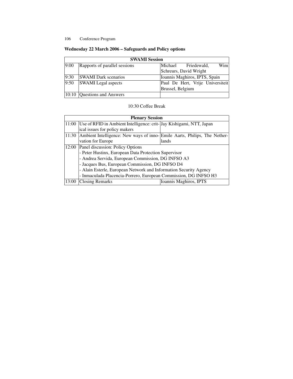|      | <b>SWAMI</b> Session            |                  |                                  |      |  |
|------|---------------------------------|------------------|----------------------------------|------|--|
| 9:00 | Rapports of parallel sessions   |                  | Michael Friedewald,              | Wiml |  |
|      |                                 |                  | Schreurs, David Wright           |      |  |
| 9:30 | <b>SWAMI</b> Dark scenarios     |                  | Ioannis Maghiros, IPTS, Spain    |      |  |
| 9:50 | <b>SWAMI</b> Legal aspects      |                  | Paul De Hert, Vrije Universiteit |      |  |
|      |                                 | Brussel, Belgium |                                  |      |  |
|      | $ 10:10 $ Questions and Answers |                  |                                  |      |  |

## Wednesday 22 March 2006 – Safeguards and Policy options

## 10:30 Coffee Break

|       | <b>Plenary Session</b>                                                     |                        |  |
|-------|----------------------------------------------------------------------------|------------------------|--|
|       | 11:00 Use of RFID in Ambient Intelligence: crit- Jay Kishigami, NTT, Japan |                        |  |
|       | ical issues for policy makers                                              |                        |  |
| 11:30 | Ambient Intelligence: New ways of inno-Emile Aarts, Philips, The Nether-   |                        |  |
|       | vation for Europe                                                          | lands                  |  |
|       | 12:00 Panel discussion: Policy Options                                     |                        |  |
|       | - Peter Hustinx, European Data Protection Supervisor                       |                        |  |
|       | - Andrea Servida, European Commission, DG INFSO A3                         |                        |  |
|       | - Jacques Bus, European Commission, DG INFSO D4                            |                        |  |
|       | - Alain Esterle, European Network and Information Security Agency          |                        |  |
|       | - Inmaculada Placencia-Porrero, European Commission, DG INFSO H3           |                        |  |
| 13:00 | <b>Closing Remarks</b>                                                     | Ioannis Maghiros, IPTS |  |